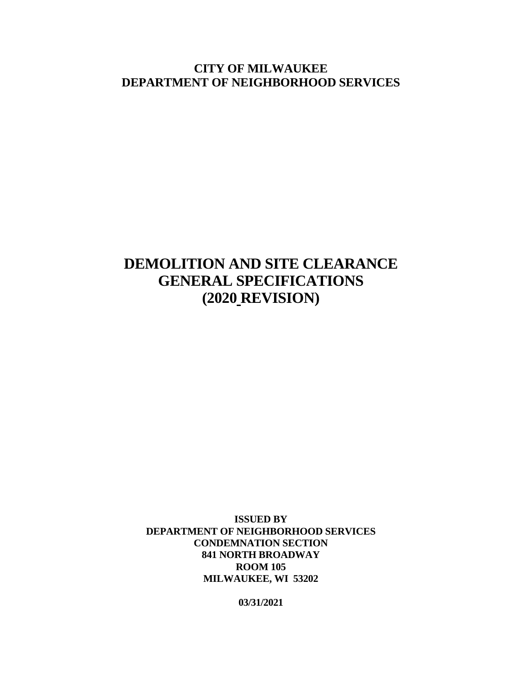**CITY OF MILWAUKEE DEPARTMENT OF NEIGHBORHOOD SERVICES**

# **DEMOLITION AND SITE CLEARANCE GENERAL SPECIFICATIONS (2020 REVISION)**

**ISSUED BY DEPARTMENT OF NEIGHBORHOOD SERVICES CONDEMNATION SECTION 841 NORTH BROADWAY ROOM 105 MILWAUKEE, WI 53202**

**03/31/2021**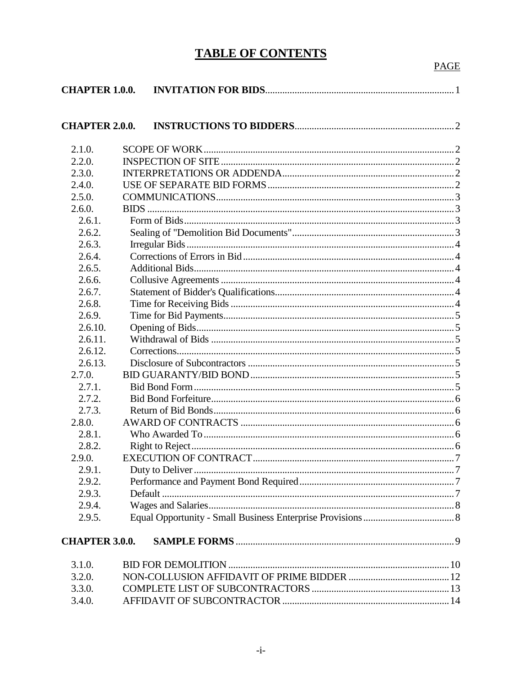# **TABLE OF CONTENTS**

#### **PAGE**

| <b>CHAPTER 1.0.0.</b> |  |  |  |  |
|-----------------------|--|--|--|--|
| <b>CHAPTER 2.0.0.</b> |  |  |  |  |
| 2.1.0.                |  |  |  |  |
| 2.2.0.                |  |  |  |  |
| 2.3.0.                |  |  |  |  |
| 2.4.0.                |  |  |  |  |
| 2.5.0.                |  |  |  |  |
| 2.6.0.                |  |  |  |  |
| 2.6.1.                |  |  |  |  |
| 2.6.2.                |  |  |  |  |
| 2.6.3.                |  |  |  |  |
| 2.6.4.                |  |  |  |  |
| 2.6.5.                |  |  |  |  |
| 2.6.6.                |  |  |  |  |
| 2.6.7.                |  |  |  |  |
| 2.6.8.                |  |  |  |  |
| 2.6.9.                |  |  |  |  |
| 2.6.10.               |  |  |  |  |
| 2.6.11.               |  |  |  |  |
| 2.6.12.               |  |  |  |  |
| 2.6.13.               |  |  |  |  |
| 2.7.0.                |  |  |  |  |
| 2.7.1.                |  |  |  |  |
| 2.7.2.                |  |  |  |  |
| 2.7.3.                |  |  |  |  |
| 2.8.0.                |  |  |  |  |
| 2.8.1.                |  |  |  |  |
| 2.8.2.                |  |  |  |  |
| 2.9.0.                |  |  |  |  |
| 2.9.1.                |  |  |  |  |
| 2.9.2.                |  |  |  |  |
| 2.9.3.                |  |  |  |  |
| 2.9.4.                |  |  |  |  |
| 2.9.5.                |  |  |  |  |
| <b>CHAPTER 3.0.0.</b> |  |  |  |  |
| 3.1.0.                |  |  |  |  |
| 3.2.0.                |  |  |  |  |
| 3.3.0.                |  |  |  |  |
| 3.4.0.                |  |  |  |  |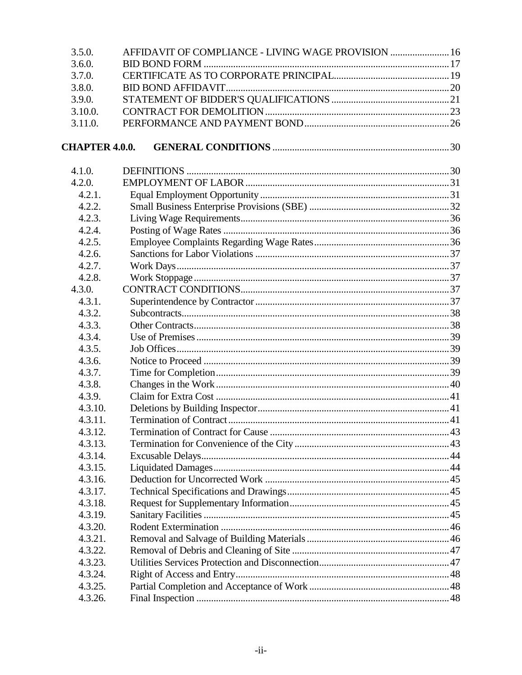| 3.5.0.                | AFFIDAVIT OF COMPLIANCE - LIVING WAGE PROVISION  16 |  |
|-----------------------|-----------------------------------------------------|--|
| 3.6.0.                |                                                     |  |
| 3.7.0.                |                                                     |  |
| 3.8.0.                |                                                     |  |
| 3.9.0.                |                                                     |  |
| 3.10.0.               |                                                     |  |
| 3.11.0.               |                                                     |  |
| <b>CHAPTER 4.0.0.</b> |                                                     |  |
|                       |                                                     |  |
| 4.1.0.                |                                                     |  |
| 4.2.0.                |                                                     |  |
| 4.2.1.                |                                                     |  |
| 4.2.2.                |                                                     |  |
| 4.2.3.                |                                                     |  |
| 4.2.4.                |                                                     |  |
| 4.2.5.                |                                                     |  |
| 4.2.6.                |                                                     |  |
| 4.2.7.                |                                                     |  |
| 4.2.8.                |                                                     |  |
| 4.3.0.                |                                                     |  |
| 4.3.1.                |                                                     |  |
| 4.3.2.                |                                                     |  |
| 4.3.3.                |                                                     |  |
| 4.3.4.                |                                                     |  |
| 4.3.5.                |                                                     |  |
| 4.3.6.                |                                                     |  |
| 4.3.7.                |                                                     |  |
| 4.3.8.                |                                                     |  |
| 4.3.9.                |                                                     |  |
| 4.3.10.               |                                                     |  |
| 4.3.11.               |                                                     |  |
| 4.3.12.               |                                                     |  |
| 4.3.13.               |                                                     |  |
| 4.3.14.               |                                                     |  |
| 4.3.15.               |                                                     |  |
| 4.3.16.               |                                                     |  |
| 4.3.17.               |                                                     |  |
| 4.3.18.               |                                                     |  |
| 4.3.19.               |                                                     |  |
| 4.3.20.               |                                                     |  |
| 4.3.21.               |                                                     |  |
| 4.3.22.               |                                                     |  |
| 4.3.23.               |                                                     |  |
| 4.3.24.               |                                                     |  |
| 4.3.25.               |                                                     |  |
| 4.3.26.               |                                                     |  |
|                       |                                                     |  |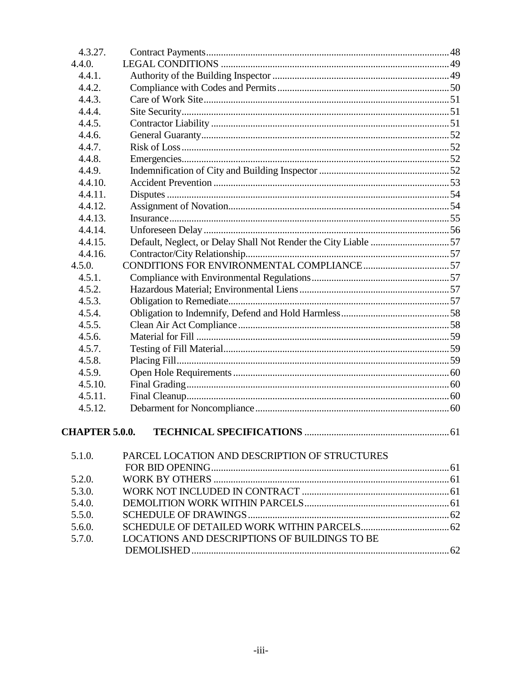| 4.3.27.               |                                               |  |  |  |  |
|-----------------------|-----------------------------------------------|--|--|--|--|
| 4.4.0.                |                                               |  |  |  |  |
| 4.4.1.                |                                               |  |  |  |  |
| 4.4.2.                |                                               |  |  |  |  |
| 4.4.3.                |                                               |  |  |  |  |
| 4.4.4.                |                                               |  |  |  |  |
| 4.4.5.                |                                               |  |  |  |  |
| 4.4.6.                |                                               |  |  |  |  |
| 4.4.7.                |                                               |  |  |  |  |
| 4.4.8.                |                                               |  |  |  |  |
| 4.4.9.                |                                               |  |  |  |  |
| 4.4.10.               |                                               |  |  |  |  |
| 4.4.11.               |                                               |  |  |  |  |
| 4.4.12.               |                                               |  |  |  |  |
| 4.4.13.               |                                               |  |  |  |  |
| 4.4.14.               |                                               |  |  |  |  |
| 4.4.15.               |                                               |  |  |  |  |
| 4.4.16.               |                                               |  |  |  |  |
| 4.5.0.                |                                               |  |  |  |  |
| 4.5.1.                |                                               |  |  |  |  |
| 4.5.2.                |                                               |  |  |  |  |
| 4.5.3.                |                                               |  |  |  |  |
| 4.5.4.                |                                               |  |  |  |  |
| 4.5.5.                |                                               |  |  |  |  |
| 4.5.6.                |                                               |  |  |  |  |
| 4.5.7.                |                                               |  |  |  |  |
| 4.5.8.                |                                               |  |  |  |  |
| 4.5.9.                |                                               |  |  |  |  |
| 4.5.10.               |                                               |  |  |  |  |
| 4.5.11.               |                                               |  |  |  |  |
| 4.5.12.               |                                               |  |  |  |  |
|                       |                                               |  |  |  |  |
| <b>CHAPTER 5.0.0.</b> |                                               |  |  |  |  |
|                       |                                               |  |  |  |  |
| 5.1.0.                | PARCEL LOCATION AND DESCRIPTION OF STRUCTURES |  |  |  |  |
|                       |                                               |  |  |  |  |
| 5.2.0.                |                                               |  |  |  |  |
| 5.3.0.                |                                               |  |  |  |  |
| 5.4.0.                |                                               |  |  |  |  |
| 5.5.0.                |                                               |  |  |  |  |
| 5.6.0.                |                                               |  |  |  |  |
| 5.7.0.                | LOCATIONS AND DESCRIPTIONS OF BUILDINGS TO BE |  |  |  |  |
|                       |                                               |  |  |  |  |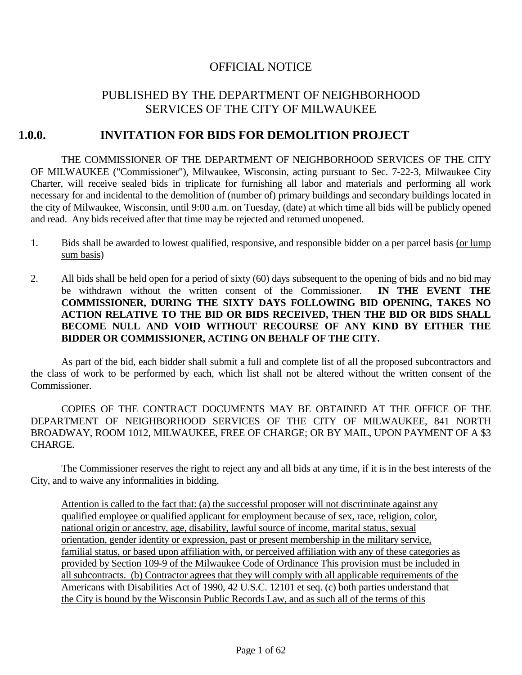# OFFICIAL NOTICE

# PUBLISHED BY THE DEPARTMENT OF NEIGHBORHOOD SERVICES OF THE CITY OF MILWAUKEE

# **1.0.0. INVITATION FOR BIDS FOR DEMOLITION PROJECT**

THE COMMISSIONER OF THE DEPARTMENT OF NEIGHBORHOOD SERVICES OF THE CITY OF MILWAUKEE ("Commissioner"), Milwaukee, Wisconsin, acting pursuant to Sec. 7-22-3, Milwaukee City Charter, will receive sealed bids in triplicate for furnishing all labor and materials and performing all work necessary for and incidental to the demolition of (number of) primary buildings and secondary buildings located in the city of Milwaukee, Wisconsin, until 9:00 a.m. on Tuesday, (date) at which time all bids will be publicly opened and read. Any bids received after that time may be rejected and returned unopened.

- 1. Bids shall be awarded to lowest qualified, responsive, and responsible bidder on a per parcel basis (or lump sum basis)
- 2. All bids shall be held open for a period of sixty (60) days subsequent to the opening of bids and no bid may be withdrawn without the written consent of the Commissioner. **IN THE EVENT THE COMMISSIONER, DURING THE SIXTY DAYS FOLLOWING BID OPENING, TAKES NO ACTION RELATIVE TO THE BID OR BIDS RECEIVED, THEN THE BID OR BIDS SHALL BECOME NULL AND VOID WITHOUT RECOURSE OF ANY KIND BY EITHER THE BIDDER OR COMMISSIONER, ACTING ON BEHALF OF THE CITY.**

As part of the bid, each bidder shall submit a full and complete list of all the proposed subcontractors and the class of work to be performed by each, which list shall not be altered without the written consent of the Commissioner.

COPIES OF THE CONTRACT DOCUMENTS MAY BE OBTAINED AT THE OFFICE OF THE DEPARTMENT OF NEIGHBORHOOD SERVICES OF THE CITY OF MILWAUKEE, 841 NORTH BROADWAY, ROOM 1012, MILWAUKEE, FREE OF CHARGE; OR BY MAIL, UPON PAYMENT OF A \$3 CHARGE.

The Commissioner reserves the right to reject any and all bids at any time, if it is in the best interests of the City, and to waive any informalities in bidding.

Attention is called to the fact that: (a) the successful proposer will not discriminate against any qualified employee or qualified applicant for employment because of sex, race, religion, color, national origin or ancestry, age, disability, lawful source of income, marital status, sexual orientation, gender identity or expression, past or present membership in the military service, familial status, or based upon affiliation with, or perceived affiliation with any of these categories as provided by Section 109-9 of the Milwaukee Code of Ordinance This provision must be included in all subcontracts. (b) Contractor agrees that they will comply with all applicable requirements of the Americans with Disabilities Act of 1990, 42 U.S.C. 12101 et seq. (c) both parties understand that the City is bound by the Wisconsin Public Records Law, and as such all of the terms of this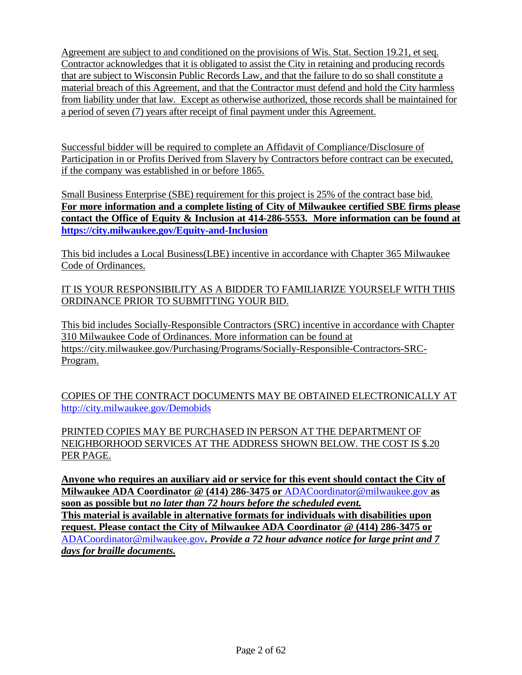Agreement are subject to and conditioned on the provisions of Wis. Stat. Section 19.21, et seq. Contractor acknowledges that it is obligated to assist the City in retaining and producing records that are subject to Wisconsin Public Records Law, and that the failure to do so shall constitute a material breach of this Agreement, and that the Contractor must defend and hold the City harmless from liability under that law. Except as otherwise authorized, those records shall be maintained for a period of seven (7) years after receipt of final payment under this Agreement.

Successful bidder will be required to complete an Affidavit of Compliance/Disclosure of Participation in or Profits Derived from Slavery by Contractors before contract can be executed, if the company was established in or before 1865.

Small Business Enterprise (SBE) requirement for this project is 25% of the contract base bid. **For more information and a complete listing of City of Milwaukee certified SBE firms please contact the Office of Equity & Inclusion at 414-286-5553. More information can be found at <https://city.milwaukee.gov/Equity-and-Inclusion>**

This bid includes a Local Business(LBE) incentive in accordance with Chapter 365 Milwaukee Code of Ordinances.

IT IS YOUR RESPONSIBILITY AS A BIDDER TO FAMILIARIZE YOURSELF WITH THIS ORDINANCE PRIOR TO SUBMITTING YOUR BID.

This bid includes Socially-Responsible Contractors (SRC) incentive in accordance with Chapter 310 Milwaukee Code of Ordinances. More information can be found at https://city.milwaukee.gov/Purchasing/Programs/Socially-Responsible-Contractors-SRC-Program.

COPIES OF THE CONTRACT DOCUMENTS MAY BE OBTAINED ELECTRONICALLY AT <http://city.milwaukee.gov/Demobids>

PRINTED COPIES MAY BE PURCHASED IN PERSON AT THE DEPARTMENT OF NEIGHBORHOOD SERVICES AT THE ADDRESS SHOWN BELOW. THE COST IS \$.20 PER PAGE.

**Anyone who requires an auxiliary aid or service for this event should contact the City of Milwaukee ADA Coordinator @ (414) 286-3475 or** [ADACoordinator@milwaukee.gov](mailto:ADACoordinator@milwaukee.gov) **as soon as possible but** *no later than 72 hours before the scheduled event.* **This material is available in alternative formats for individuals with disabilities upon request. Please contact the City of Milwaukee ADA Coordinator @ (414) 286-3475 or**  [ADACoordinator@milwaukee.gov](mailto:ADACoordinator@milwaukee.gov)**.** *Provide a 72 hour advance notice for large print and 7 days for braille documents.*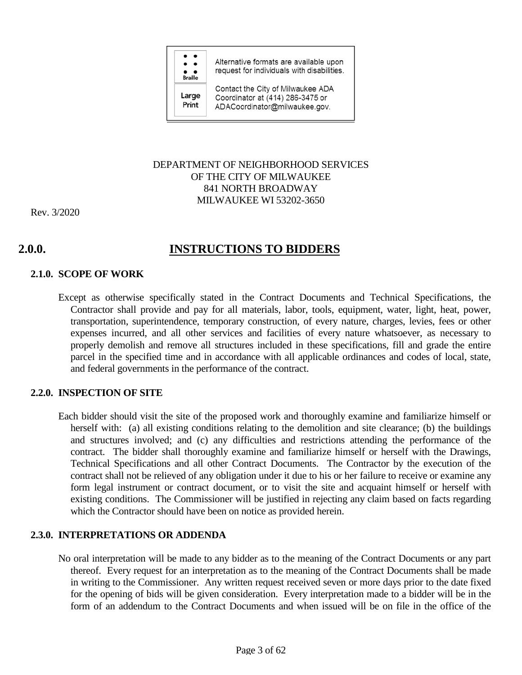| <b>Braille</b> | Alternative formats are available upon<br>request for individuals with disabilities.                   |
|----------------|--------------------------------------------------------------------------------------------------------|
| Large<br>Print | Contact the City of Milwaukee ADA<br>Coordinator at (414) 286-3475 or<br>ADACoordinator@milwaukee.gov. |

#### DEPARTMENT OF NEIGHBORHOOD SERVICES OF THE CITY OF MILWAUKEE 841 NORTH BROADWAY MILWAUKEE WI 53202-3650

Rev. 3/2020

# **2.0.0. INSTRUCTIONS TO BIDDERS**

### **2.1.0. SCOPE OF WORK**

Except as otherwise specifically stated in the Contract Documents and Technical Specifications, the Contractor shall provide and pay for all materials, labor, tools, equipment, water, light, heat, power, transportation, superintendence, temporary construction, of every nature, charges, levies, fees or other expenses incurred, and all other services and facilities of every nature whatsoever, as necessary to properly demolish and remove all structures included in these specifications, fill and grade the entire parcel in the specified time and in accordance with all applicable ordinances and codes of local, state, and federal governments in the performance of the contract.

#### **2.2.0. INSPECTION OF SITE**

Each bidder should visit the site of the proposed work and thoroughly examine and familiarize himself or herself with: (a) all existing conditions relating to the demolition and site clearance; (b) the buildings and structures involved; and (c) any difficulties and restrictions attending the performance of the contract. The bidder shall thoroughly examine and familiarize himself or herself with the Drawings, Technical Specifications and all other Contract Documents. The Contractor by the execution of the contract shall not be relieved of any obligation under it due to his or her failure to receive or examine any form legal instrument or contract document, or to visit the site and acquaint himself or herself with existing conditions. The Commissioner will be justified in rejecting any claim based on facts regarding which the Contractor should have been on notice as provided herein.

#### **2.3.0. INTERPRETATIONS OR ADDENDA**

No oral interpretation will be made to any bidder as to the meaning of the Contract Documents or any part thereof. Every request for an interpretation as to the meaning of the Contract Documents shall be made in writing to the Commissioner. Any written request received seven or more days prior to the date fixed for the opening of bids will be given consideration. Every interpretation made to a bidder will be in the form of an addendum to the Contract Documents and when issued will be on file in the office of the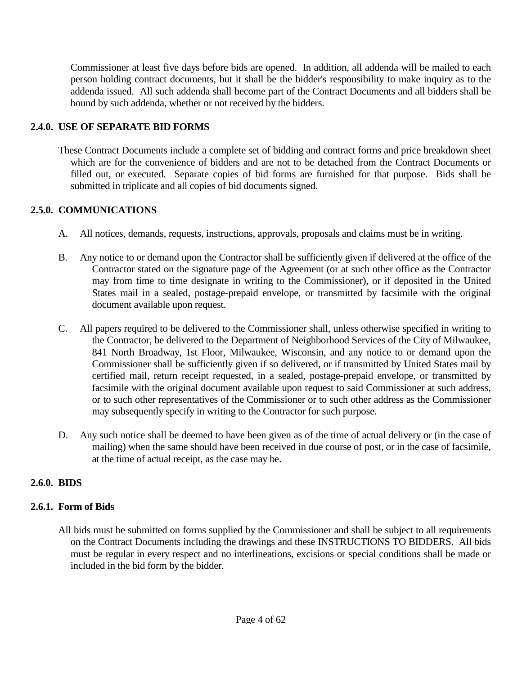Commissioner at least five days before bids are opened. In addition, all addenda will be mailed to each person holding contract documents, but it shall be the bidder's responsibility to make inquiry as to the addenda issued. All such addenda shall become part of the Contract Documents and all bidders shall be bound by such addenda, whether or not received by the bidders.

### **2.4.0. USE OF SEPARATE BID FORMS**

These Contract Documents include a complete set of bidding and contract forms and price breakdown sheet which are for the convenience of bidders and are not to be detached from the Contract Documents or filled out, or executed. Separate copies of bid forms are furnished for that purpose. Bids shall be submitted in triplicate and all copies of bid documents signed.

### **2.5.0. COMMUNICATIONS**

- A. All notices, demands, requests, instructions, approvals, proposals and claims must be in writing.
- B. Any notice to or demand upon the Contractor shall be sufficiently given if delivered at the office of the Contractor stated on the signature page of the Agreement (or at such other office as the Contractor may from time to time designate in writing to the Commissioner), or if deposited in the United States mail in a sealed, postage-prepaid envelope, or transmitted by facsimile with the original document available upon request.
- C. All papers required to be delivered to the Commissioner shall, unless otherwise specified in writing to the Contractor, be delivered to the Department of Neighborhood Services of the City of Milwaukee, 841 North Broadway, 1st Floor, Milwaukee, Wisconsin, and any notice to or demand upon the Commissioner shall be sufficiently given if so delivered, or if transmitted by United States mail by certified mail, return receipt requested, in a sealed, postage-prepaid envelope, or transmitted by facsimile with the original document available upon request to said Commissioner at such address, or to such other representatives of the Commissioner or to such other address as the Commissioner may subsequently specify in writing to the Contractor for such purpose.
- D. Any such notice shall be deemed to have been given as of the time of actual delivery or (in the case of mailing) when the same should have been received in due course of post, or in the case of facsimile, at the time of actual receipt, as the case may be.

# **2.6.0. BIDS**

# **2.6.1. Form of Bids**

All bids must be submitted on forms supplied by the Commissioner and shall be subject to all requirements on the Contract Documents including the drawings and these INSTRUCTIONS TO BIDDERS. All bids must be regular in every respect and no interlineations, excisions or special conditions shall be made or included in the bid form by the bidder.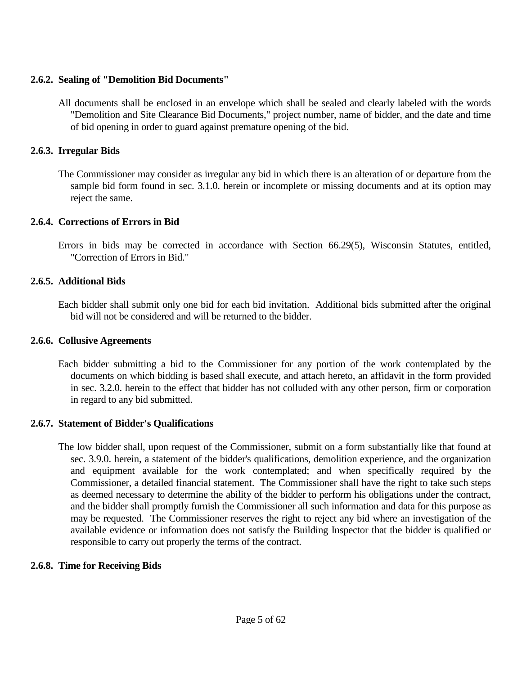#### **2.6.2. Sealing of "Demolition Bid Documents"**

All documents shall be enclosed in an envelope which shall be sealed and clearly labeled with the words "Demolition and Site Clearance Bid Documents," project number, name of bidder, and the date and time of bid opening in order to guard against premature opening of the bid.

### **2.6.3. Irregular Bids**

The Commissioner may consider as irregular any bid in which there is an alteration of or departure from the sample bid form found in sec. 3.1.0. herein or incomplete or missing documents and at its option may reject the same.

# **2.6.4. Corrections of Errors in Bid**

Errors in bids may be corrected in accordance with Section 66.29(5), Wisconsin Statutes, entitled, "Correction of Errors in Bid."

# **2.6.5. Additional Bids**

Each bidder shall submit only one bid for each bid invitation. Additional bids submitted after the original bid will not be considered and will be returned to the bidder.

#### **2.6.6. Collusive Agreements**

Each bidder submitting a bid to the Commissioner for any portion of the work contemplated by the documents on which bidding is based shall execute, and attach hereto, an affidavit in the form provided in sec. 3.2.0. herein to the effect that bidder has not colluded with any other person, firm or corporation in regard to any bid submitted.

# **2.6.7. Statement of Bidder's Qualifications**

The low bidder shall, upon request of the Commissioner, submit on a form substantially like that found at sec. 3.9.0. herein, a statement of the bidder's qualifications, demolition experience, and the organization and equipment available for the work contemplated; and when specifically required by the Commissioner, a detailed financial statement. The Commissioner shall have the right to take such steps as deemed necessary to determine the ability of the bidder to perform his obligations under the contract, and the bidder shall promptly furnish the Commissioner all such information and data for this purpose as may be requested. The Commissioner reserves the right to reject any bid where an investigation of the available evidence or information does not satisfy the Building Inspector that the bidder is qualified or responsible to carry out properly the terms of the contract.

#### **2.6.8. Time for Receiving Bids**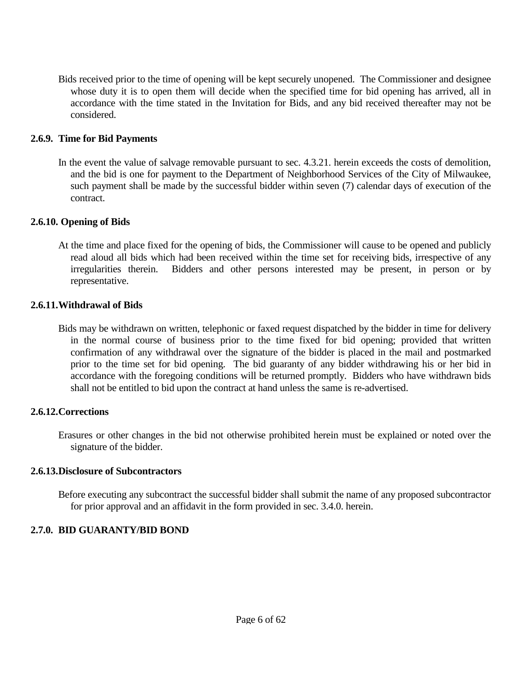Bids received prior to the time of opening will be kept securely unopened. The Commissioner and designee whose duty it is to open them will decide when the specified time for bid opening has arrived, all in accordance with the time stated in the Invitation for Bids, and any bid received thereafter may not be considered.

#### **2.6.9. Time for Bid Payments**

In the event the value of salvage removable pursuant to sec. 4.3.21. herein exceeds the costs of demolition, and the bid is one for payment to the Department of Neighborhood Services of the City of Milwaukee, such payment shall be made by the successful bidder within seven (7) calendar days of execution of the contract.

#### **2.6.10. Opening of Bids**

At the time and place fixed for the opening of bids, the Commissioner will cause to be opened and publicly read aloud all bids which had been received within the time set for receiving bids, irrespective of any irregularities therein. Bidders and other persons interested may be present, in person or by representative.

#### **2.6.11.Withdrawal of Bids**

Bids may be withdrawn on written, telephonic or faxed request dispatched by the bidder in time for delivery in the normal course of business prior to the time fixed for bid opening; provided that written confirmation of any withdrawal over the signature of the bidder is placed in the mail and postmarked prior to the time set for bid opening. The bid guaranty of any bidder withdrawing his or her bid in accordance with the foregoing conditions will be returned promptly. Bidders who have withdrawn bids shall not be entitled to bid upon the contract at hand unless the same is re-advertised.

#### **2.6.12.Corrections**

Erasures or other changes in the bid not otherwise prohibited herein must be explained or noted over the signature of the bidder.

#### **2.6.13.Disclosure of Subcontractors**

Before executing any subcontract the successful bidder shall submit the name of any proposed subcontractor for prior approval and an affidavit in the form provided in sec. 3.4.0. herein.

#### **2.7.0. BID GUARANTY/BID BOND**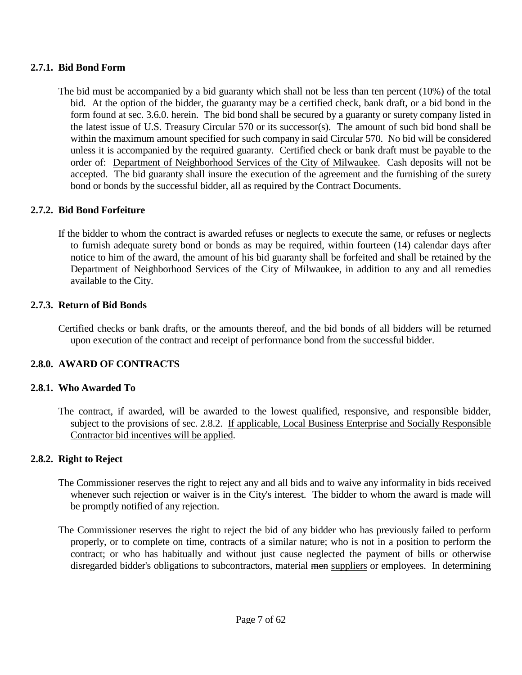#### **2.7.1. Bid Bond Form**

The bid must be accompanied by a bid guaranty which shall not be less than ten percent (10%) of the total bid. At the option of the bidder, the guaranty may be a certified check, bank draft, or a bid bond in the form found at sec. 3.6.0. herein. The bid bond shall be secured by a guaranty or surety company listed in the latest issue of U.S. Treasury Circular 570 or its successor(s). The amount of such bid bond shall be within the maximum amount specified for such company in said Circular 570. No bid will be considered unless it is accompanied by the required guaranty. Certified check or bank draft must be payable to the order of: Department of Neighborhood Services of the City of Milwaukee. Cash deposits will not be accepted. The bid guaranty shall insure the execution of the agreement and the furnishing of the surety bond or bonds by the successful bidder, all as required by the Contract Documents.

# **2.7.2. Bid Bond Forfeiture**

If the bidder to whom the contract is awarded refuses or neglects to execute the same, or refuses or neglects to furnish adequate surety bond or bonds as may be required, within fourteen (14) calendar days after notice to him of the award, the amount of his bid guaranty shall be forfeited and shall be retained by the Department of Neighborhood Services of the City of Milwaukee, in addition to any and all remedies available to the City.

# **2.7.3. Return of Bid Bonds**

Certified checks or bank drafts, or the amounts thereof, and the bid bonds of all bidders will be returned upon execution of the contract and receipt of performance bond from the successful bidder.

# **2.8.0. AWARD OF CONTRACTS**

# **2.8.1. Who Awarded To**

The contract, if awarded, will be awarded to the lowest qualified, responsive, and responsible bidder, subject to the provisions of sec. 2.8.2. If applicable, Local Business Enterprise and Socially Responsible Contractor bid incentives will be applied.

# **2.8.2. Right to Reject**

- The Commissioner reserves the right to reject any and all bids and to waive any informality in bids received whenever such rejection or waiver is in the City's interest. The bidder to whom the award is made will be promptly notified of any rejection.
- The Commissioner reserves the right to reject the bid of any bidder who has previously failed to perform properly, or to complete on time, contracts of a similar nature; who is not in a position to perform the contract; or who has habitually and without just cause neglected the payment of bills or otherwise disregarded bidder's obligations to subcontractors, material men suppliers or employees. In determining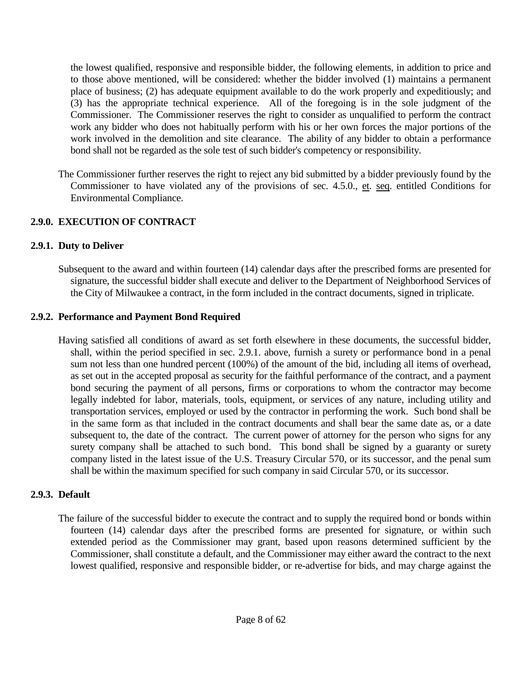the lowest qualified, responsive and responsible bidder, the following elements, in addition to price and to those above mentioned, will be considered: whether the bidder involved (1) maintains a permanent place of business; (2) has adequate equipment available to do the work properly and expeditiously; and (3) has the appropriate technical experience. All of the foregoing is in the sole judgment of the Commissioner. The Commissioner reserves the right to consider as unqualified to perform the contract work any bidder who does not habitually perform with his or her own forces the major portions of the work involved in the demolition and site clearance. The ability of any bidder to obtain a performance bond shall not be regarded as the sole test of such bidder's competency or responsibility.

The Commissioner further reserves the right to reject any bid submitted by a bidder previously found by the Commissioner to have violated any of the provisions of sec. 4.5.0., et. seq. entitled Conditions for Environmental Compliance.

# **2.9.0. EXECUTION OF CONTRACT**

#### **2.9.1. Duty to Deliver**

Subsequent to the award and within fourteen (14) calendar days after the prescribed forms are presented for signature, the successful bidder shall execute and deliver to the Department of Neighborhood Services of the City of Milwaukee a contract, in the form included in the contract documents, signed in triplicate.

#### **2.9.2. Performance and Payment Bond Required**

Having satisfied all conditions of award as set forth elsewhere in these documents, the successful bidder, shall, within the period specified in sec. 2.9.1. above, furnish a surety or performance bond in a penal sum not less than one hundred percent (100%) of the amount of the bid, including all items of overhead, as set out in the accepted proposal as security for the faithful performance of the contract, and a payment bond securing the payment of all persons, firms or corporations to whom the contractor may become legally indebted for labor, materials, tools, equipment, or services of any nature, including utility and transportation services, employed or used by the contractor in performing the work. Such bond shall be in the same form as that included in the contract documents and shall bear the same date as, or a date subsequent to, the date of the contract. The current power of attorney for the person who signs for any surety company shall be attached to such bond. This bond shall be signed by a guaranty or surety company listed in the latest issue of the U.S. Treasury Circular 570, or its successor, and the penal sum shall be within the maximum specified for such company in said Circular 570, or its successor.

#### **2.9.3. Default**

The failure of the successful bidder to execute the contract and to supply the required bond or bonds within fourteen (14) calendar days after the prescribed forms are presented for signature, or within such extended period as the Commissioner may grant, based upon reasons determined sufficient by the Commissioner, shall constitute a default, and the Commissioner may either award the contract to the next lowest qualified, responsive and responsible bidder, or re-advertise for bids, and may charge against the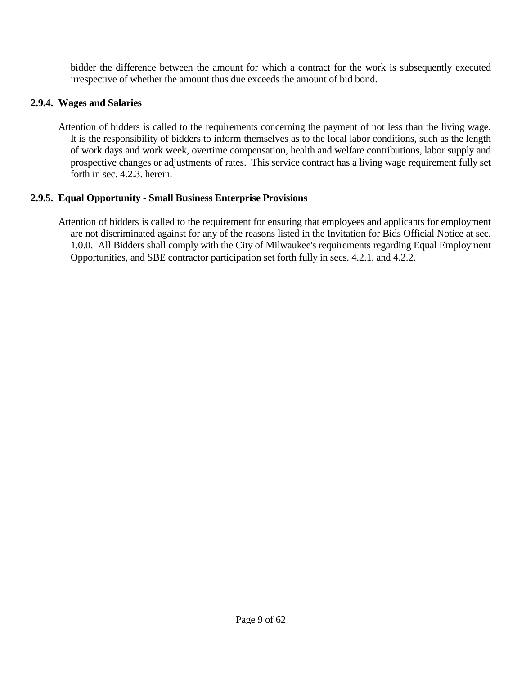bidder the difference between the amount for which a contract for the work is subsequently executed irrespective of whether the amount thus due exceeds the amount of bid bond.

#### **2.9.4. Wages and Salaries**

Attention of bidders is called to the requirements concerning the payment of not less than the living wage. It is the responsibility of bidders to inform themselves as to the local labor conditions, such as the length of work days and work week, overtime compensation, health and welfare contributions, labor supply and prospective changes or adjustments of rates. This service contract has a living wage requirement fully set forth in sec. 4.2.3. herein.

# **2.9.5. Equal Opportunity - Small Business Enterprise Provisions**

Attention of bidders is called to the requirement for ensuring that employees and applicants for employment are not discriminated against for any of the reasons listed in the Invitation for Bids Official Notice at sec. 1.0.0. All Bidders shall comply with the City of Milwaukee's requirements regarding Equal Employment Opportunities, and SBE contractor participation set forth fully in secs. 4.2.1. and 4.2.2.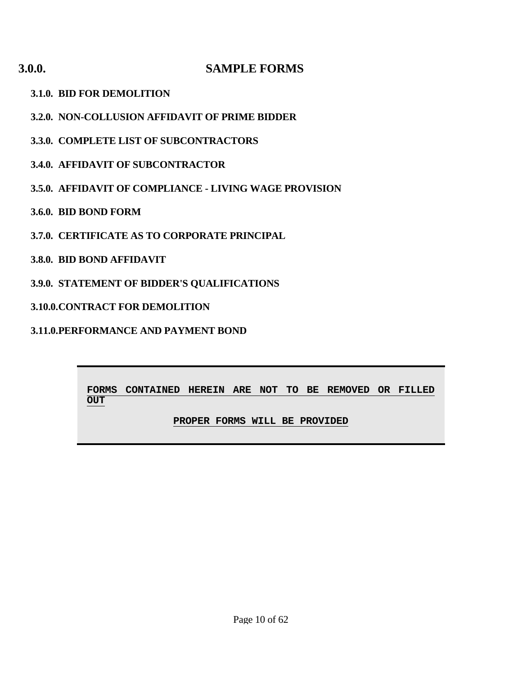# **3.0.0. SAMPLE FORMS**

- **3.1.0. BID FOR DEMOLITION**
- **3.2.0. NON-COLLUSION AFFIDAVIT OF PRIME BIDDER**
- **3.3.0. COMPLETE LIST OF SUBCONTRACTORS**
- **3.4.0. AFFIDAVIT OF SUBCONTRACTOR**
- **3.5.0. AFFIDAVIT OF COMPLIANCE - LIVING WAGE PROVISION**
- **3.6.0. BID BOND FORM**
- **3.7.0. CERTIFICATE AS TO CORPORATE PRINCIPAL**
- **3.8.0. BID BOND AFFIDAVIT**
- **3.9.0. STATEMENT OF BIDDER'S QUALIFICATIONS**
- **3.10.0.CONTRACT FOR DEMOLITION**
- **3.11.0.PERFORMANCE AND PAYMENT BOND**

**FORMS CONTAINED HEREIN ARE NOT TO BE REMOVED OR FILLED OUT**

**PROPER FORMS WILL BE PROVIDED**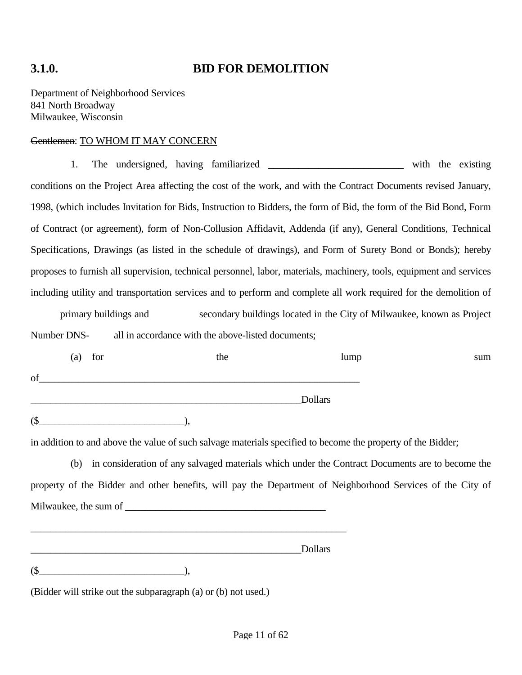# **3.1.0. BID FOR DEMOLITION**

Department of Neighborhood Services 841 North Broadway Milwaukee, Wisconsin

#### Gentlemen: TO WHOM IT MAY CONCERN

| 1. The undersigned, having familiarized                                                                              |  | with the existing |
|----------------------------------------------------------------------------------------------------------------------|--|-------------------|
| conditions on the Project Area affecting the cost of the work, and with the Contract Documents revised January,      |  |                   |
| 1998, (which includes Invitation for Bids, Instruction to Bidders, the form of Bid, the form of the Bid Bond, Form   |  |                   |
| of Contract (or agreement), form of Non-Collusion Affidavit, Addenda (if any), General Conditions, Technical         |  |                   |
| Specifications, Drawings (as listed in the schedule of drawings), and Form of Surety Bond or Bonds); hereby          |  |                   |
| proposes to furnish all supervision, technical personnel, labor, materials, machinery, tools, equipment and services |  |                   |
| including utility and transportation services and to perform and complete all work required for the demolition of    |  |                   |
|                                                                                                                      |  |                   |

| primary buildings and | secondary buildings located in the City of Milwaukee, known as Project |
|-----------------------|------------------------------------------------------------------------|
| Number DNS-           | all in accordance with the above-listed documents;                     |

|        | for<br>(a) | the | lump           | sum |
|--------|------------|-----|----------------|-----|
| of     |            |     |                |     |
|        |            |     | <b>Dollars</b> |     |
| $($ \$ |            |     |                |     |

in addition to and above the value of such salvage materials specified to become the property of the Bidder;

(b) in consideration of any salvaged materials which under the Contract Documents are to become the property of the Bidder and other benefits, will pay the Department of Neighborhood Services of the City of Milwaukee, the sum of \_\_\_\_\_\_\_\_\_\_\_\_\_\_\_\_\_\_\_\_\_\_\_\_\_\_\_\_\_\_\_\_\_\_\_\_\_\_\_\_

\_\_\_\_\_\_\_\_\_\_\_\_\_\_\_\_\_\_\_\_\_\_\_\_\_\_\_\_\_\_\_\_\_\_\_\_\_\_\_\_\_\_\_\_\_\_\_\_\_\_\_\_\_\_Dollars

(\$\_\_\_\_\_\_\_\_\_\_\_\_\_\_\_\_\_\_\_\_\_\_\_\_\_\_\_\_\_),

(Bidder will strike out the subparagraph (a) or (b) not used.)

\_\_\_\_\_\_\_\_\_\_\_\_\_\_\_\_\_\_\_\_\_\_\_\_\_\_\_\_\_\_\_\_\_\_\_\_\_\_\_\_\_\_\_\_\_\_\_\_\_\_\_\_\_\_\_\_\_\_\_\_\_\_\_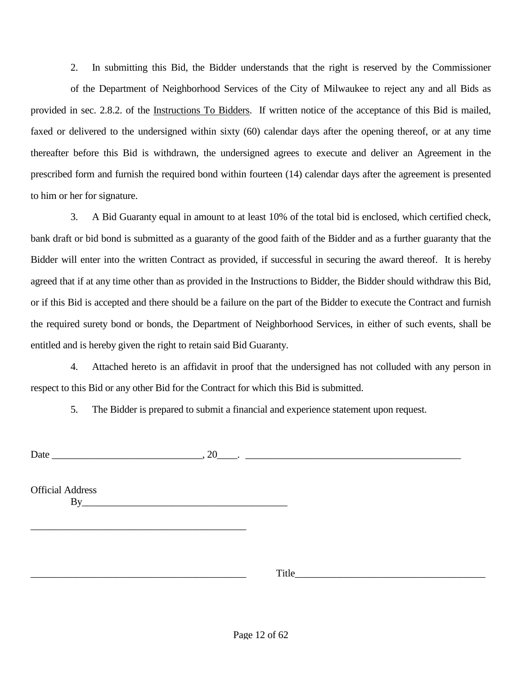2. In submitting this Bid, the Bidder understands that the right is reserved by the Commissioner of the Department of Neighborhood Services of the City of Milwaukee to reject any and all Bids as provided in sec. 2.8.2. of the Instructions To Bidders. If written notice of the acceptance of this Bid is mailed, faxed or delivered to the undersigned within sixty (60) calendar days after the opening thereof, or at any time thereafter before this Bid is withdrawn, the undersigned agrees to execute and deliver an Agreement in the prescribed form and furnish the required bond within fourteen (14) calendar days after the agreement is presented to him or her for signature.

3. A Bid Guaranty equal in amount to at least 10% of the total bid is enclosed, which certified check, bank draft or bid bond is submitted as a guaranty of the good faith of the Bidder and as a further guaranty that the Bidder will enter into the written Contract as provided, if successful in securing the award thereof. It is hereby agreed that if at any time other than as provided in the Instructions to Bidder, the Bidder should withdraw this Bid, or if this Bid is accepted and there should be a failure on the part of the Bidder to execute the Contract and furnish the required surety bond or bonds, the Department of Neighborhood Services, in either of such events, shall be entitled and is hereby given the right to retain said Bid Guaranty.

4. Attached hereto is an affidavit in proof that the undersigned has not colluded with any person in respect to this Bid or any other Bid for the Contract for which this Bid is submitted.

5. The Bidder is prepared to submit a financial and experience statement upon request.

| Date                                              | $\frac{1}{2}$ , 20 $\frac{1}{2}$ , 20 $\frac{1}{2}$ , $\frac{1}{2}$ , $\frac{1}{2}$ , $\frac{1}{2}$ , $\frac{1}{2}$ , $\frac{1}{2}$ , $\frac{1}{2}$ , $\frac{1}{2}$ , $\frac{1}{2}$ , $\frac{1}{2}$ , $\frac{1}{2}$ , $\frac{1}{2}$ , $\frac{1}{2}$ , $\frac{1}{2}$ , $\frac{1}{2}$ , $\frac{1}{2}$ , |       |  |
|---------------------------------------------------|-------------------------------------------------------------------------------------------------------------------------------------------------------------------------------------------------------------------------------------------------------------------------------------------------------|-------|--|
| <b>Official Address</b><br>$\mathbf{B}\mathbf{v}$ | <u> 1980 - Andrea Andrew Maria (h. 1980).</u>                                                                                                                                                                                                                                                         |       |  |
|                                                   |                                                                                                                                                                                                                                                                                                       |       |  |
|                                                   |                                                                                                                                                                                                                                                                                                       | Title |  |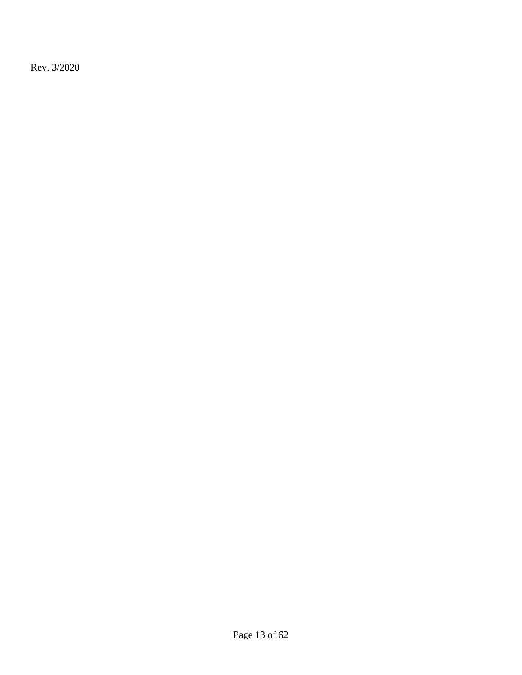Rev. 3/2020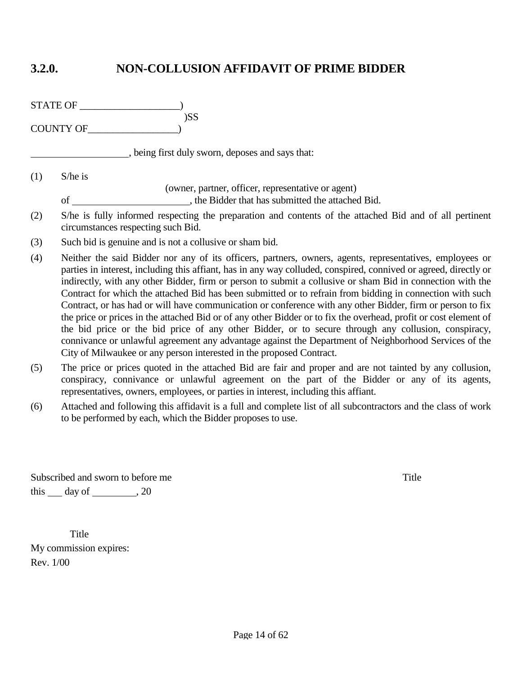# **3.2.0. NON-COLLUSION AFFIDAVIT OF PRIME BIDDER**

| <b>STATE OF</b> |  |
|-----------------|--|
|                 |  |

COUNTY OF\_\_\_\_\_\_\_\_\_\_\_\_\_\_\_\_\_\_)

, being first duly sworn, deposes and says that:

(1) S/he is

(owner, partner, officer, representative or agent)

of , the Bidder that has submitted the attached Bid.

- (2) S/he is fully informed respecting the preparation and contents of the attached Bid and of all pertinent circumstances respecting such Bid.
- (3) Such bid is genuine and is not a collusive or sham bid.
- (4) Neither the said Bidder nor any of its officers, partners, owners, agents, representatives, employees or parties in interest, including this affiant, has in any way colluded, conspired, connived or agreed, directly or indirectly, with any other Bidder, firm or person to submit a collusive or sham Bid in connection with the Contract for which the attached Bid has been submitted or to refrain from bidding in connection with such Contract, or has had or will have communication or conference with any other Bidder, firm or person to fix the price or prices in the attached Bid or of any other Bidder or to fix the overhead, profit or cost element of the bid price or the bid price of any other Bidder, or to secure through any collusion, conspiracy, connivance or unlawful agreement any advantage against the Department of Neighborhood Services of the City of Milwaukee or any person interested in the proposed Contract.
- (5) The price or prices quoted in the attached Bid are fair and proper and are not tainted by any collusion, conspiracy, connivance or unlawful agreement on the part of the Bidder or any of its agents, representatives, owners, employees, or parties in interest, including this affiant.
- (6) Attached and following this affidavit is a full and complete list of all subcontractors and the class of work to be performed by each, which the Bidder proposes to use.

|      |        | Subscribed and sworn to before me | Title |
|------|--------|-----------------------------------|-------|
| this | day of |                                   |       |

 Title My commission expires: Rev. 1/00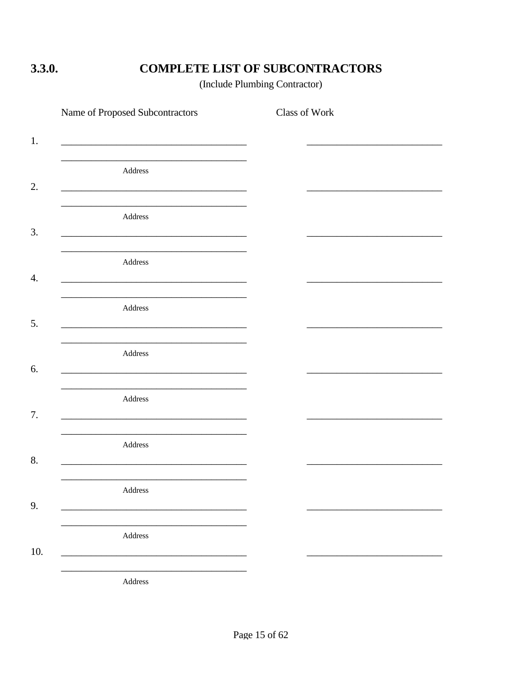#### $3.3.0.$ **COMPLETE LIST OF SUBCONTRACTORS**

(Include Plumbing Contractor)

| <u> 1980 - Jan James James Barnett, martin de la política de la propia de la propia de la propia de la propia de</u><br>Address<br><u> 1989 - Johann John Stone, markin film yn y brening yn y brening yn y brening yn y brening yn y brening yn y b</u><br>Address<br><u> 1989 - Johann Stein, Amerikaansk politiker (* 1958)</u><br>Address<br><u> 1980 - Johann John Stein, marwolaeth a bhannaich an t-Amhain an t-Amhain an t-Amhain an t-Amhain an t-Amhain</u><br>Address<br><u> 1989 - Johann Stoff, deutscher Stoffen und der Stoffen und der Stoffen und der Stoffen und der Stoffen und der</u><br>the control of the control of the control of the control of the control of the control of the<br>Address<br><u> 1989 - Johann John Stein, fransk politik (d. 1989)</u><br>Address<br><u> 1980 - Andrea Andrew Maria (h. 1980).</u><br>Address<br><u> 1989 - Johann John Stein, markin fan it ferstjer fan it ferstjer fan it ferstjer fan it ferstjer fan it fers</u><br>Address<br>Address | Name of Proposed Subcontractors | Class of Work |
|-----------------------------------------------------------------------------------------------------------------------------------------------------------------------------------------------------------------------------------------------------------------------------------------------------------------------------------------------------------------------------------------------------------------------------------------------------------------------------------------------------------------------------------------------------------------------------------------------------------------------------------------------------------------------------------------------------------------------------------------------------------------------------------------------------------------------------------------------------------------------------------------------------------------------------------------------------------------------------------------------------------|---------------------------------|---------------|
|                                                                                                                                                                                                                                                                                                                                                                                                                                                                                                                                                                                                                                                                                                                                                                                                                                                                                                                                                                                                           |                                 |               |
|                                                                                                                                                                                                                                                                                                                                                                                                                                                                                                                                                                                                                                                                                                                                                                                                                                                                                                                                                                                                           |                                 |               |
|                                                                                                                                                                                                                                                                                                                                                                                                                                                                                                                                                                                                                                                                                                                                                                                                                                                                                                                                                                                                           |                                 |               |
|                                                                                                                                                                                                                                                                                                                                                                                                                                                                                                                                                                                                                                                                                                                                                                                                                                                                                                                                                                                                           |                                 |               |
|                                                                                                                                                                                                                                                                                                                                                                                                                                                                                                                                                                                                                                                                                                                                                                                                                                                                                                                                                                                                           |                                 |               |
|                                                                                                                                                                                                                                                                                                                                                                                                                                                                                                                                                                                                                                                                                                                                                                                                                                                                                                                                                                                                           |                                 |               |
|                                                                                                                                                                                                                                                                                                                                                                                                                                                                                                                                                                                                                                                                                                                                                                                                                                                                                                                                                                                                           |                                 |               |
|                                                                                                                                                                                                                                                                                                                                                                                                                                                                                                                                                                                                                                                                                                                                                                                                                                                                                                                                                                                                           |                                 |               |
|                                                                                                                                                                                                                                                                                                                                                                                                                                                                                                                                                                                                                                                                                                                                                                                                                                                                                                                                                                                                           |                                 |               |
|                                                                                                                                                                                                                                                                                                                                                                                                                                                                                                                                                                                                                                                                                                                                                                                                                                                                                                                                                                                                           |                                 |               |
|                                                                                                                                                                                                                                                                                                                                                                                                                                                                                                                                                                                                                                                                                                                                                                                                                                                                                                                                                                                                           |                                 |               |

Address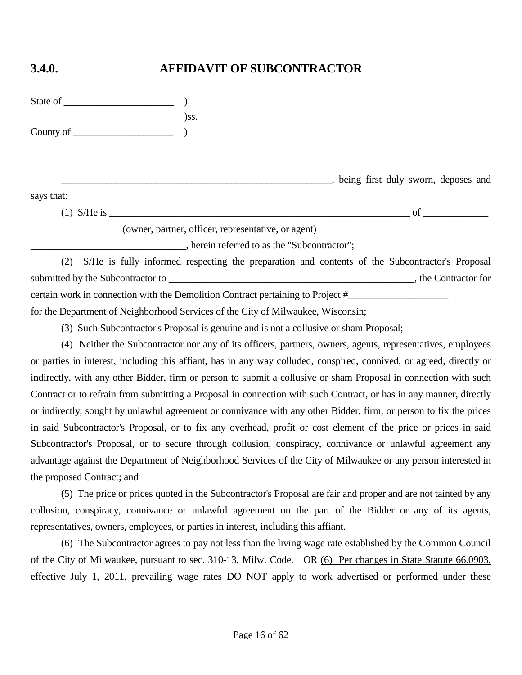# **3.4.0. AFFIDAVIT OF SUBCONTRACTOR**

says that:

(1) S/He is  $\qquad \qquad$  of

(owner, partner, officer, representative, or agent)

\_\_\_\_\_\_\_\_\_\_\_\_\_\_\_\_\_\_\_\_\_\_\_\_\_\_\_\_\_\_\_, herein referred to as the "Subcontractor";

\_\_\_\_\_\_\_\_\_\_\_\_\_\_\_\_\_\_\_\_\_\_\_\_\_\_\_\_\_\_\_\_\_\_\_\_\_\_\_\_\_\_\_\_\_\_\_\_\_\_\_\_\_\_, being first duly sworn, deposes and

(2) S/He is fully informed respecting the preparation and contents of the Subcontractor's Proposal submitted by the Subcontractor to  $\blacksquare$ certain work in connection with the Demolition Contract pertaining to Project # for the Department of Neighborhood Services of the City of Milwaukee, Wisconsin;

(3) Such Subcontractor's Proposal is genuine and is not a collusive or sham Proposal;

(4) Neither the Subcontractor nor any of its officers, partners, owners, agents, representatives, employees or parties in interest, including this affiant, has in any way colluded, conspired, connived, or agreed, directly or indirectly, with any other Bidder, firm or person to submit a collusive or sham Proposal in connection with such Contract or to refrain from submitting a Proposal in connection with such Contract, or has in any manner, directly or indirectly, sought by unlawful agreement or connivance with any other Bidder, firm, or person to fix the prices in said Subcontractor's Proposal, or to fix any overhead, profit or cost element of the price or prices in said Subcontractor's Proposal, or to secure through collusion, conspiracy, connivance or unlawful agreement any advantage against the Department of Neighborhood Services of the City of Milwaukee or any person interested in the proposed Contract; and

(5) The price or prices quoted in the Subcontractor's Proposal are fair and proper and are not tainted by any collusion, conspiracy, connivance or unlawful agreement on the part of the Bidder or any of its agents, representatives, owners, employees, or parties in interest, including this affiant.

(6) The Subcontractor agrees to pay not less than the living wage rate established by the Common Council of the City of Milwaukee, pursuant to sec. 310-13, Milw. Code. OR (6) Per changes in State Statute 66.0903, effective July 1, 2011, prevailing wage rates DO NOT apply to work advertised or performed under these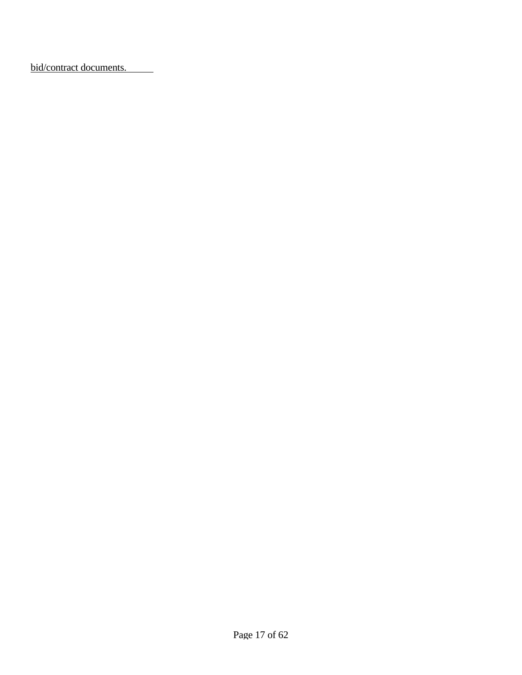bid/contract documents.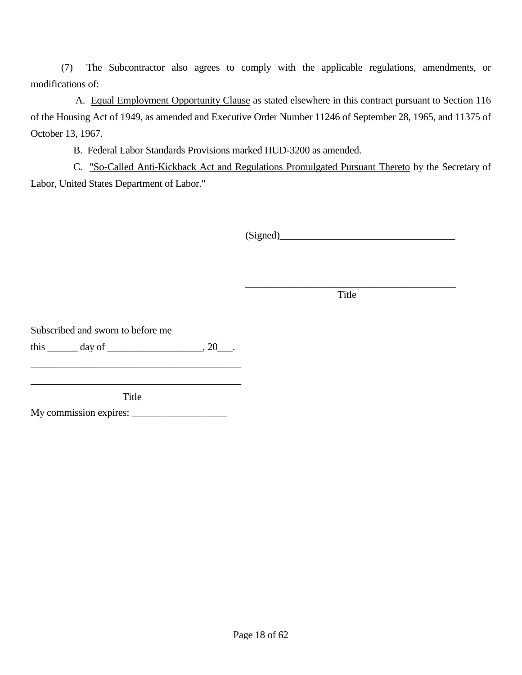(7) The Subcontractor also agrees to comply with the applicable regulations, amendments, or modifications of:

 A. Equal Employment Opportunity Clause as stated elsewhere in this contract pursuant to Section 116 of the Housing Act of 1949, as amended and Executive Order Number 11246 of September 28, 1965, and 11375 of October 13, 1967.

B. Federal Labor Standards Provisions marked HUD-3200 as amended.

 C. "So-Called Anti-Kickback Act and Regulations Promulgated Pursuant Thereto by the Secretary of Labor, United States Department of Labor."

 $(Signed)$ 

\_\_\_\_\_\_\_\_\_\_\_\_\_\_\_\_\_\_\_\_\_\_\_\_\_\_\_\_\_\_\_\_\_\_\_\_\_\_\_\_\_\_ Title

Subscribed and sworn to before me

this  $\_\_\_\_\$  day of  $\_\_\_\_\_\_\$ , 20 $\_\_\_\.\$ 

\_\_\_\_\_\_\_\_\_\_\_\_\_\_\_\_\_\_\_\_\_\_\_\_\_\_\_\_\_\_\_\_\_\_\_\_\_\_\_\_\_\_ \_\_\_\_\_\_\_\_\_\_\_\_\_\_\_\_\_\_\_\_\_\_\_\_\_\_\_\_\_\_\_\_\_\_\_\_\_\_\_\_\_\_

Title

My commission expires: \_\_\_\_\_\_\_\_\_\_\_\_\_\_\_\_\_\_\_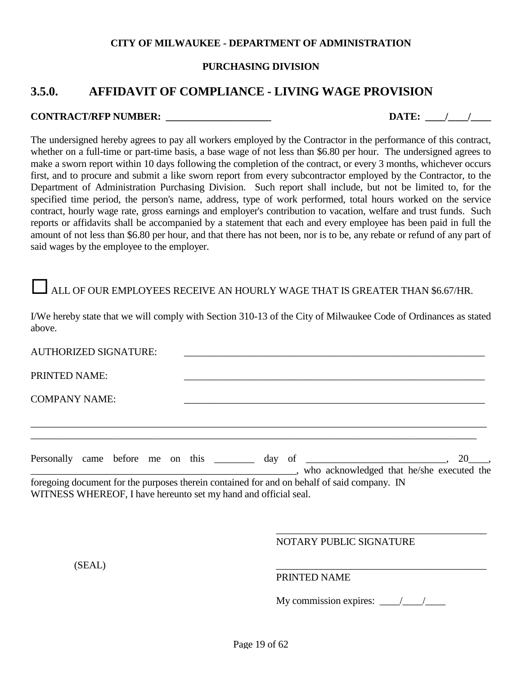#### **CITY OF MILWAUKEE - DEPARTMENT OF ADMINISTRATION**

#### **PURCHASING DIVISION**

# **3.5.0. AFFIDAVIT OF COMPLIANCE - LIVING WAGE PROVISION**

#### **CONTRACT/RFP NUMBER: \_\_\_\_\_\_\_\_\_\_\_\_\_\_\_\_\_\_\_\_\_ DATE: \_\_\_\_/\_\_\_\_/\_\_\_\_**

The undersigned hereby agrees to pay all workers employed by the Contractor in the performance of this contract, whether on a full-time or part-time basis, a base wage of not less than \$6.80 per hour. The undersigned agrees to make a sworn report within 10 days following the completion of the contract, or every 3 months, whichever occurs first, and to procure and submit a like sworn report from every subcontractor employed by the Contractor, to the Department of Administration Purchasing Division. Such report shall include, but not be limited to, for the specified time period, the person's name, address, type of work performed, total hours worked on the service contract, hourly wage rate, gross earnings and employer's contribution to vacation, welfare and trust funds. Such reports or affidavits shall be accompanied by a statement that each and every employee has been paid in full the amount of not less than \$6.80 per hour, and that there has not been, nor is to be, any rebate or refund of any part of said wages by the employee to the employer.

ALL OF OUR EMPLOYEES RECEIVE AN HOURLY WAGE THAT IS GREATER THAN \$6.67/HR.

I/We hereby state that we will comply with Section 310-13 of the City of Milwaukee Code of Ordinances as stated above.

| <b>AUTHORIZED SIGNATURE:</b>                                                                                                                                   |                                                                                           |
|----------------------------------------------------------------------------------------------------------------------------------------------------------------|-------------------------------------------------------------------------------------------|
| PRINTED NAME:                                                                                                                                                  |                                                                                           |
| <b>COMPANY NAME:</b>                                                                                                                                           |                                                                                           |
|                                                                                                                                                                | Personally came before me on this _________ day of _____________________________,<br>20 . |
| foregoing document for the purposes therein contained for and on behalf of said company. IN<br>WITNESS WHEREOF, I have hereunto set my hand and official seal. | who acknowledged that he/she executed the                                                 |

NOTARY PUBLIC SIGNATURE

 $\overline{\phantom{a}}$  , where the contract of the contract of the contract of the contract of the contract of the contract of the contract of the contract of the contract of the contract of the contract of the contract of the contr

 $(SEAL)$ 

PRINTED NAME

My commission expires:  $\frac{\sqrt{2}}{2}$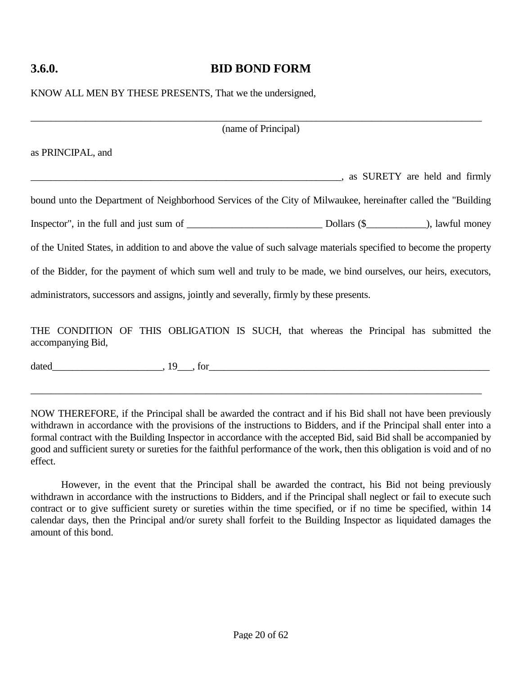# **3.6.0. BID BOND FORM**

KNOW ALL MEN BY THESE PRESENTS, That we the undersigned,

| (name of Principal)                                                                                                 |                               |  |
|---------------------------------------------------------------------------------------------------------------------|-------------------------------|--|
| as PRINCIPAL, and                                                                                                   |                               |  |
|                                                                                                                     | as SURETY are held and firmly |  |
| bound unto the Department of Neighborhood Services of the City of Milwaukee, hereinafter called the "Building"      |                               |  |
|                                                                                                                     |                               |  |
| of the United States, in addition to and above the value of such salvage materials specified to become the property |                               |  |
| of the Bidder, for the payment of which sum well and truly to be made, we bind ourselves, our heirs, executors,     |                               |  |
| administrators, successors and assigns, jointly and severally, firmly by these presents.                            |                               |  |
| THE CONDITION OF THIS OBLIGATION IS SUCH, that whereas the Principal has submitted the<br>accompanying Bid,         |                               |  |

dated  $\Box$ , 19 $\Box$ , for

NOW THEREFORE, if the Principal shall be awarded the contract and if his Bid shall not have been previously withdrawn in accordance with the provisions of the instructions to Bidders, and if the Principal shall enter into a formal contract with the Building Inspector in accordance with the accepted Bid, said Bid shall be accompanied by good and sufficient surety or sureties for the faithful performance of the work, then this obligation is void and of no effect.

\_\_\_\_\_\_\_\_\_\_\_\_\_\_\_\_\_\_\_\_\_\_\_\_\_\_\_\_\_\_\_\_\_\_\_\_\_\_\_\_\_\_\_\_\_\_\_\_\_\_\_\_\_\_\_\_\_\_\_\_\_\_\_\_\_\_\_\_\_\_\_\_\_\_\_\_\_\_\_\_\_\_\_\_\_\_\_\_\_\_

However, in the event that the Principal shall be awarded the contract, his Bid not being previously withdrawn in accordance with the instructions to Bidders, and if the Principal shall neglect or fail to execute such contract or to give sufficient surety or sureties within the time specified, or if no time be specified, within 14 calendar days, then the Principal and/or surety shall forfeit to the Building Inspector as liquidated damages the amount of this bond.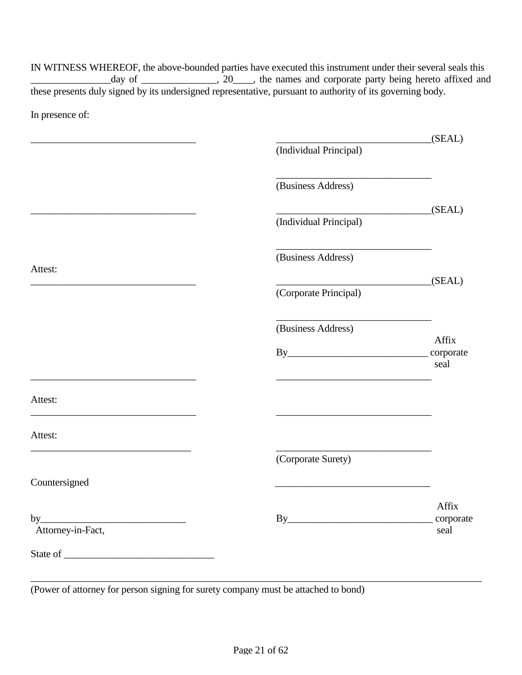IN WITNESS WHEREOF, the above-bounded parties have executed this instrument under their several seals this  $\alpha$  day of \_\_\_\_\_\_\_\_\_\_\_\_, 20\_\_\_, the names and corporate party being hereto affixed and these presents duly signed by its undersigned representative, pursuant to authority of its governing body.

In presence of:

|                                                                                                                                  |                                                                          | (SEAL)             |
|----------------------------------------------------------------------------------------------------------------------------------|--------------------------------------------------------------------------|--------------------|
|                                                                                                                                  | (Individual Principal)                                                   |                    |
|                                                                                                                                  | (Business Address)                                                       |                    |
|                                                                                                                                  |                                                                          | (SEAL)             |
|                                                                                                                                  | (Individual Principal)                                                   |                    |
|                                                                                                                                  | (Business Address)                                                       |                    |
| Attest:                                                                                                                          |                                                                          | (SEAL)             |
|                                                                                                                                  | (Corporate Principal)                                                    |                    |
|                                                                                                                                  | (Business Address)                                                       |                    |
|                                                                                                                                  |                                                                          | Affix              |
|                                                                                                                                  |                                                                          | seal               |
| <u> 1989 - Johann Harry Harry Harry Harry Harry Harry Harry Harry Harry Harry Harry Harry Harry Harry Harry Harry</u><br>Attest: | <u> 1989 - Johann John Stein, mars an deus Amerikaansk kommunister (</u> |                    |
|                                                                                                                                  |                                                                          |                    |
| Attest:                                                                                                                          |                                                                          |                    |
|                                                                                                                                  | (Corporate Surety)                                                       |                    |
| Countersigned                                                                                                                    |                                                                          |                    |
| by                                                                                                                               | By                                                                       | Affix<br>corporate |
| Attorney-in-Fact,                                                                                                                |                                                                          | seal               |
|                                                                                                                                  |                                                                          |                    |

(Power of attorney for person signing for surety company must be attached to bond)

\_\_\_\_\_\_\_\_\_\_\_\_\_\_\_\_\_\_\_\_\_\_\_\_\_\_\_\_\_\_\_\_\_\_\_\_\_\_\_\_\_\_\_\_\_\_\_\_\_\_\_\_\_\_\_\_\_\_\_\_\_\_\_\_\_\_\_\_\_\_\_\_\_\_\_\_\_\_\_\_\_\_\_\_\_\_\_\_\_\_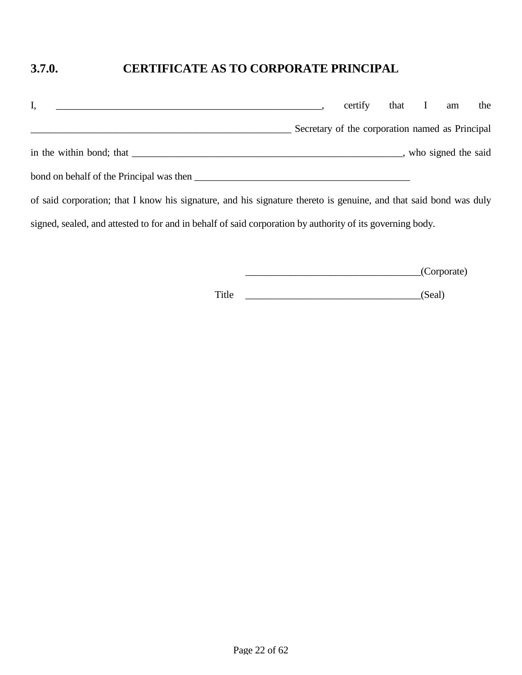# **3.7.0. CERTIFICATE AS TO CORPORATE PRINCIPAL**

|                                                                                                                                                                                                                                | certify                                         | that I | am | the |
|--------------------------------------------------------------------------------------------------------------------------------------------------------------------------------------------------------------------------------|-------------------------------------------------|--------|----|-----|
|                                                                                                                                                                                                                                | Secretary of the corporation named as Principal |        |    |     |
|                                                                                                                                                                                                                                |                                                 |        |    |     |
| bond on behalf of the Principal was then server and the server of the server of the server of the server of the server of the server of the server of the server of the server of the server of the server of the server of th |                                                 |        |    |     |
| of said corporation; that I know his signature, and his signature thereto is genuine, and that said bond was duly                                                                                                              |                                                 |        |    |     |
| signed, sealed, and attested to for and in behalf of said corporation by authority of its governing body.                                                                                                                      |                                                 |        |    |     |

\_\_\_\_\_\_\_\_\_\_\_\_\_\_\_\_\_\_\_\_\_\_\_\_\_\_\_\_\_\_\_\_\_\_\_(Corporate)

Title \_\_\_\_\_\_\_\_\_\_\_\_\_\_\_\_\_\_\_\_\_\_\_\_\_\_\_\_\_\_\_\_\_\_\_(Seal)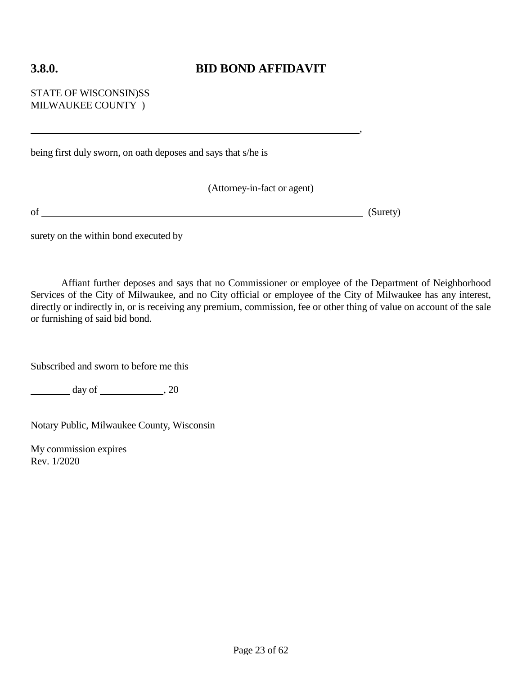# **3.8.0. BID BOND AFFIDAVIT**

### STATE OF WISCONSIN)SS MILWAUKEE COUNTY )

being first duly sworn, on oath deposes and says that s/he is

, where the contract of the contract of the contract of the contract of the contract of the contract of the contract of the contract of the contract of the contract of the contract of the contract of the contract of the c

(Attorney-in-fact or agent)

of (Surety)

surety on the within bond executed by

Affiant further deposes and says that no Commissioner or employee of the Department of Neighborhood Services of the City of Milwaukee, and no City official or employee of the City of Milwaukee has any interest, directly or indirectly in, or is receiving any premium, commission, fee or other thing of value on account of the sale or furnishing of said bid bond.

Subscribed and sworn to before me this

 $day of \_$ , 20

Notary Public, Milwaukee County, Wisconsin

My commission expires Rev. 1/2020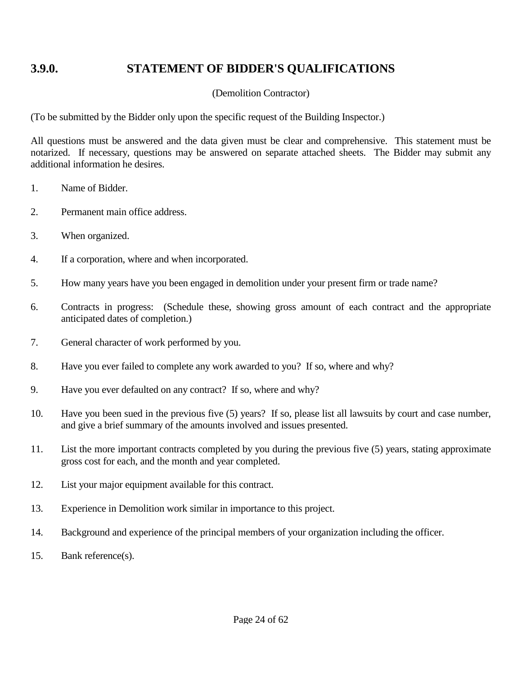# **3.9.0. STATEMENT OF BIDDER'S QUALIFICATIONS**

(Demolition Contractor)

(To be submitted by the Bidder only upon the specific request of the Building Inspector.)

All questions must be answered and the data given must be clear and comprehensive. This statement must be notarized. If necessary, questions may be answered on separate attached sheets. The Bidder may submit any additional information he desires.

- 1. Name of Bidder.
- 2. Permanent main office address.
- 3. When organized.
- 4. If a corporation, where and when incorporated.
- 5. How many years have you been engaged in demolition under your present firm or trade name?
- 6. Contracts in progress: (Schedule these, showing gross amount of each contract and the appropriate anticipated dates of completion.)
- 7. General character of work performed by you.
- 8. Have you ever failed to complete any work awarded to you? If so, where and why?
- 9. Have you ever defaulted on any contract? If so, where and why?
- 10. Have you been sued in the previous five (5) years? If so, please list all lawsuits by court and case number, and give a brief summary of the amounts involved and issues presented.
- 11. List the more important contracts completed by you during the previous five (5) years, stating approximate gross cost for each, and the month and year completed.
- 12. List your major equipment available for this contract.
- 13. Experience in Demolition work similar in importance to this project.
- 14. Background and experience of the principal members of your organization including the officer.
- 15. Bank reference(s).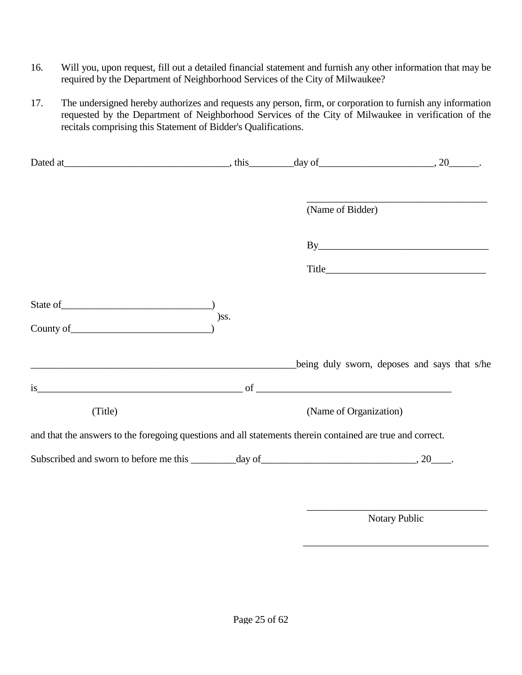- 16. Will you, upon request, fill out a detailed financial statement and furnish any other information that may be required by the Department of Neighborhood Services of the City of Milwaukee?
- 17. The undersigned hereby authorizes and requests any person, firm, or corporation to furnish any information requested by the Department of Neighborhood Services of the City of Milwaukee in verification of the recitals comprising this Statement of Bidder's Qualifications.

| Dated at $\qquad \qquad \text{thus} \qquad \qquad \text{day of} \qquad \qquad \text{to} \qquad \qquad \text{,} \qquad \qquad \text{,} \qquad \qquad \text{,} \qquad \text{,} \qquad \text{,} \qquad \text{,} \qquad \text{,} \qquad \text{,} \qquad \text{,} \qquad \text{,} \qquad \text{,} \qquad \text{,} \qquad \text{,} \qquad \text{,} \qquad \text{,} \qquad \text{,} \qquad \text{,} \qquad \text{,} \qquad \text{,} \qquad \text{,} \qquad \text{,}$ |      |                        |                                              |
|---------------------------------------------------------------------------------------------------------------------------------------------------------------------------------------------------------------------------------------------------------------------------------------------------------------------------------------------------------------------------------------------------------------------------------------------------------------|------|------------------------|----------------------------------------------|
|                                                                                                                                                                                                                                                                                                                                                                                                                                                               |      |                        |                                              |
|                                                                                                                                                                                                                                                                                                                                                                                                                                                               |      | (Name of Bidder)       |                                              |
|                                                                                                                                                                                                                                                                                                                                                                                                                                                               |      |                        | By                                           |
|                                                                                                                                                                                                                                                                                                                                                                                                                                                               |      |                        |                                              |
|                                                                                                                                                                                                                                                                                                                                                                                                                                                               | )ss. |                        |                                              |
| <u> 1989 - Johann Barbara, marka a shekara tsa 1989 - An tsa 1989 - An tsa 1989 - An tsa 1989 - An tsa 1989 - An</u>                                                                                                                                                                                                                                                                                                                                          |      |                        | being duly sworn, deposes and says that s/he |
| $is$ of $\qquad$                                                                                                                                                                                                                                                                                                                                                                                                                                              |      |                        |                                              |
| (Title)                                                                                                                                                                                                                                                                                                                                                                                                                                                       |      | (Name of Organization) |                                              |
| and that the answers to the foregoing questions and all statements therein contained are true and correct.                                                                                                                                                                                                                                                                                                                                                    |      |                        |                                              |
|                                                                                                                                                                                                                                                                                                                                                                                                                                                               |      |                        |                                              |

 $\_$ Notary Public

 $\overline{\phantom{a}}$  ,  $\overline{\phantom{a}}$  ,  $\overline{\phantom{a}}$  ,  $\overline{\phantom{a}}$  ,  $\overline{\phantom{a}}$  ,  $\overline{\phantom{a}}$  ,  $\overline{\phantom{a}}$  ,  $\overline{\phantom{a}}$  ,  $\overline{\phantom{a}}$  ,  $\overline{\phantom{a}}$  ,  $\overline{\phantom{a}}$  ,  $\overline{\phantom{a}}$  ,  $\overline{\phantom{a}}$  ,  $\overline{\phantom{a}}$  ,  $\overline{\phantom{a}}$  ,  $\overline{\phantom{a}}$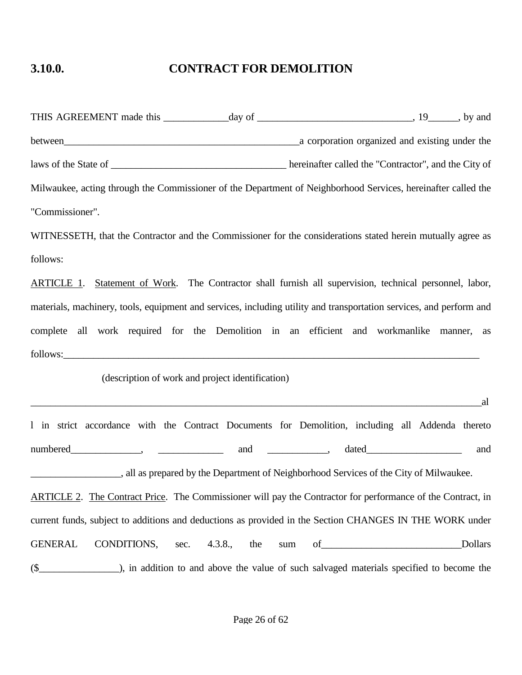# **3.10.0. CONTRACT FOR DEMOLITION**

| Milwaukee, acting through the Commissioner of the Department of Neighborhood Services, hereinafter called the                                                                                                                  |                                                                                                                                                                                                                                      |
|--------------------------------------------------------------------------------------------------------------------------------------------------------------------------------------------------------------------------------|--------------------------------------------------------------------------------------------------------------------------------------------------------------------------------------------------------------------------------------|
| "Commissioner".                                                                                                                                                                                                                |                                                                                                                                                                                                                                      |
| WITNESSETH, that the Contractor and the Commissioner for the considerations stated herein mutually agree as                                                                                                                    |                                                                                                                                                                                                                                      |
| follows:                                                                                                                                                                                                                       |                                                                                                                                                                                                                                      |
| <u>ARTICLE 1</u> .                                                                                                                                                                                                             | Statement of Work. The Contractor shall furnish all supervision, technical personnel, labor,                                                                                                                                         |
| materials, machinery, tools, equipment and services, including utility and transportation services, and perform and                                                                                                            |                                                                                                                                                                                                                                      |
| complete all work required for the Demolition in an efficient and workmanlike manner, as                                                                                                                                       |                                                                                                                                                                                                                                      |
| follows: the contract of the contract of the contract of the contract of the contract of the contract of the contract of the contract of the contract of the contract of the contract of the contract of the contract of the c |                                                                                                                                                                                                                                      |
| (description of work and project identification)                                                                                                                                                                               |                                                                                                                                                                                                                                      |
|                                                                                                                                                                                                                                | <u>and the contract of the contract of the contract of the contract of the contract of the contract of the contract of the contract of the contract of the contract of the contract of the contract of the contract of the contr</u> |
| 1 in strict accordance with the Contract Documents for Demolition, including all Addenda thereto                                                                                                                               |                                                                                                                                                                                                                                      |
|                                                                                                                                                                                                                                | and                                                                                                                                                                                                                                  |
| all as prepared by the Department of Neighborhood Services of the City of Milwaukee.                                                                                                                                           |                                                                                                                                                                                                                                      |
| ARTICLE 2. The Contract Price. The Commissioner will pay the Contractor for performance of the Contract, in                                                                                                                    |                                                                                                                                                                                                                                      |
| current funds, subject to additions and deductions as provided in the Section CHANGES IN THE WORK under                                                                                                                        |                                                                                                                                                                                                                                      |
| 4.3.8.,<br>CONDITIONS,<br><b>GENERAL</b><br>the<br>sec.                                                                                                                                                                        | <b>Dollars</b><br>sum                                                                                                                                                                                                                |
| $$^{3.5}$                                                                                                                                                                                                                      | ), in addition to and above the value of such salvaged materials specified to become the                                                                                                                                             |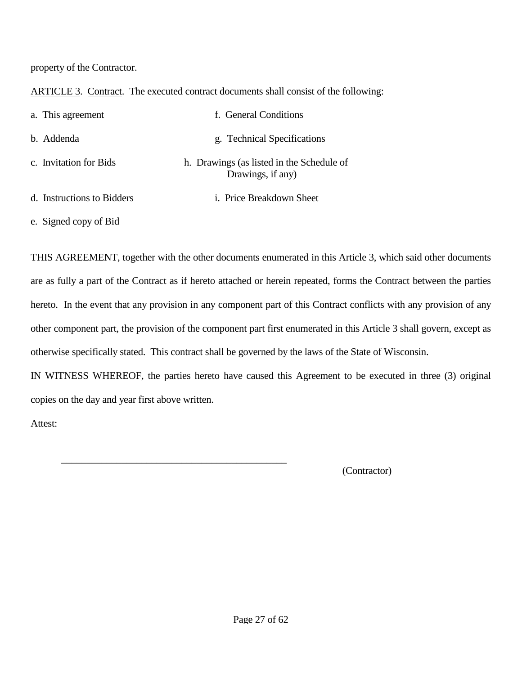property of the Contractor.

ARTICLE 3. Contract. The executed contract documents shall consist of the following:

| a. This agreement          | f. General Conditions                                          |
|----------------------------|----------------------------------------------------------------|
| b. Addenda                 | g. Technical Specifications                                    |
| c. Invitation for Bids     | h. Drawings (as listed in the Schedule of<br>Drawings, if any) |
| d. Instructions to Bidders | i. Price Breakdown Sheet                                       |

\_\_\_\_\_\_\_\_\_\_\_\_\_\_\_\_\_\_\_\_\_\_\_\_\_\_\_\_\_\_\_\_\_\_\_\_\_\_\_\_\_\_\_\_\_

e. Signed copy of Bid

THIS AGREEMENT, together with the other documents enumerated in this Article 3, which said other documents are as fully a part of the Contract as if hereto attached or herein repeated, forms the Contract between the parties hereto. In the event that any provision in any component part of this Contract conflicts with any provision of any other component part, the provision of the component part first enumerated in this Article 3 shall govern, except as otherwise specifically stated. This contract shall be governed by the laws of the State of Wisconsin.

IN WITNESS WHEREOF, the parties hereto have caused this Agreement to be executed in three (3) original copies on the day and year first above written.

Attest:

(Contractor)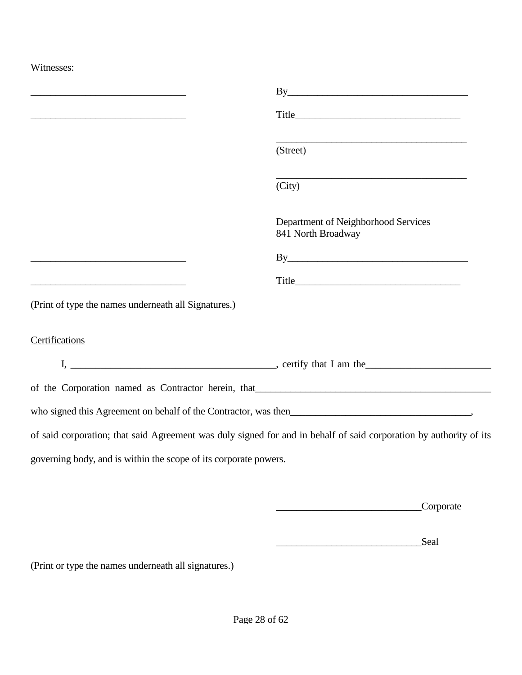|                                                                                                                      | By                                                                                                                               |
|----------------------------------------------------------------------------------------------------------------------|----------------------------------------------------------------------------------------------------------------------------------|
|                                                                                                                      |                                                                                                                                  |
|                                                                                                                      | <u> 1989 - Johann Stein, marwolaethau a bhann an t-Amhair ann an t-Amhair an t-Amhair an t-Amhair an t-Amhair an</u><br>(Street) |
|                                                                                                                      | (City)                                                                                                                           |
|                                                                                                                      | Department of Neighborhood Services<br>841 North Broadway                                                                        |
| <u> 1989 - Johann John Stein, markin fan it ferstjer fan it ferstjer fan it ferstjer fan it ferstjer fan it fers</u> | By                                                                                                                               |
| <u> 1989 - Johann Barn, fransk politik amerikansk politik (</u>                                                      |                                                                                                                                  |
| (Print of type the names underneath all Signatures.)                                                                 |                                                                                                                                  |
| Certifications                                                                                                       |                                                                                                                                  |
|                                                                                                                      |                                                                                                                                  |
|                                                                                                                      |                                                                                                                                  |
|                                                                                                                      |                                                                                                                                  |
| of said corporation; that said Agreement was duly signed for and in behalf of said corporation by authority of its   |                                                                                                                                  |
| governing body, and is within the scope of its corporate powers.                                                     |                                                                                                                                  |

\_\_\_\_\_\_\_\_\_\_\_\_\_\_\_\_\_\_\_\_\_\_\_\_\_\_\_\_\_Corporate

\_\_\_\_\_\_\_\_\_\_\_\_\_\_\_\_\_\_\_\_\_\_\_\_\_\_\_\_\_Seal

(Print or type the names underneath all signatures.)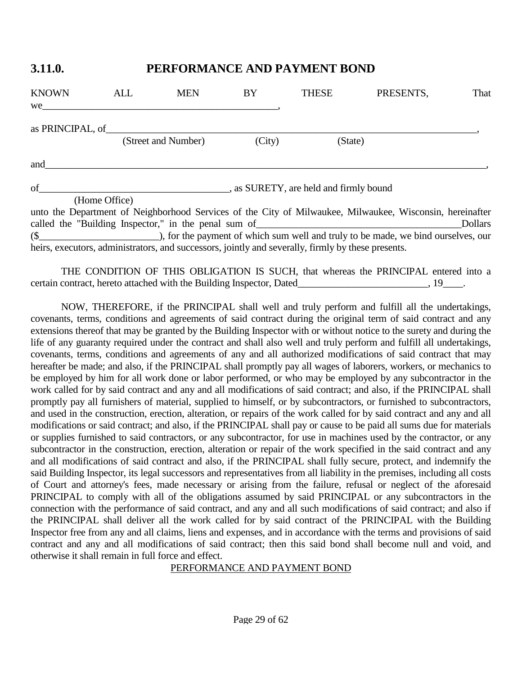# **3.11.0. PERFORMANCE AND PAYMENT BOND**

| <b>KNOWN</b>     | ALL | <b>MEN</b>          | <b>BY</b> | <b>THESE</b>                           | PRESENTS,                                                                                                | That           |
|------------------|-----|---------------------|-----------|----------------------------------------|----------------------------------------------------------------------------------------------------------|----------------|
| we               |     |                     |           |                                        |                                                                                                          |                |
| as PRINCIPAL, of |     |                     |           |                                        |                                                                                                          |                |
|                  |     | (Street and Number) | (City)    | (State)                                |                                                                                                          |                |
| and              |     |                     |           |                                        |                                                                                                          |                |
| of               |     |                     |           | , as SURETY, are held and firmly bound |                                                                                                          |                |
| (Home Office)    |     |                     |           |                                        |                                                                                                          |                |
|                  |     |                     |           |                                        | unto the Department of Neighborhood Services of the City of Milwaukee, Milwaukee, Wisconsin, hereinafter |                |
|                  |     |                     |           |                                        |                                                                                                          | <b>Dollars</b> |
|                  |     |                     |           |                                        | (\$                                                                                                      |                |

heirs, executors, administrators, and successors, jointly and severally, firmly by these presents.

THE CONDITION OF THIS OBLIGATION IS SUCH, that whereas the PRINCIPAL entered into a certain contract, hereto attached with the Building Inspector, Dated\_\_\_\_\_\_\_\_\_\_\_\_\_\_\_\_\_\_\_\_\_\_\_\_, 19\_\_\_\_.

NOW, THEREFORE, if the PRINCIPAL shall well and truly perform and fulfill all the undertakings, covenants, terms, conditions and agreements of said contract during the original term of said contract and any extensions thereof that may be granted by the Building Inspector with or without notice to the surety and during the life of any guaranty required under the contract and shall also well and truly perform and fulfill all undertakings, covenants, terms, conditions and agreements of any and all authorized modifications of said contract that may hereafter be made; and also, if the PRINCIPAL shall promptly pay all wages of laborers, workers, or mechanics to be employed by him for all work done or labor performed, or who may be employed by any subcontractor in the work called for by said contract and any and all modifications of said contract; and also, if the PRINCIPAL shall promptly pay all furnishers of material, supplied to himself, or by subcontractors, or furnished to subcontractors, and used in the construction, erection, alteration, or repairs of the work called for by said contract and any and all modifications or said contract; and also, if the PRINCIPAL shall pay or cause to be paid all sums due for materials or supplies furnished to said contractors, or any subcontractor, for use in machines used by the contractor, or any subcontractor in the construction, erection, alteration or repair of the work specified in the said contract and any and all modifications of said contract and also, if the PRINCIPAL shall fully secure, protect, and indemnify the said Building Inspector, its legal successors and representatives from all liability in the premises, including all costs of Court and attorney's fees, made necessary or arising from the failure, refusal or neglect of the aforesaid PRINCIPAL to comply with all of the obligations assumed by said PRINCIPAL or any subcontractors in the connection with the performance of said contract, and any and all such modifications of said contract; and also if the PRINCIPAL shall deliver all the work called for by said contract of the PRINCIPAL with the Building Inspector free from any and all claims, liens and expenses, and in accordance with the terms and provisions of said contract and any and all modifications of said contract; then this said bond shall become null and void, and otherwise it shall remain in full force and effect.

#### PERFORMANCE AND PAYMENT BOND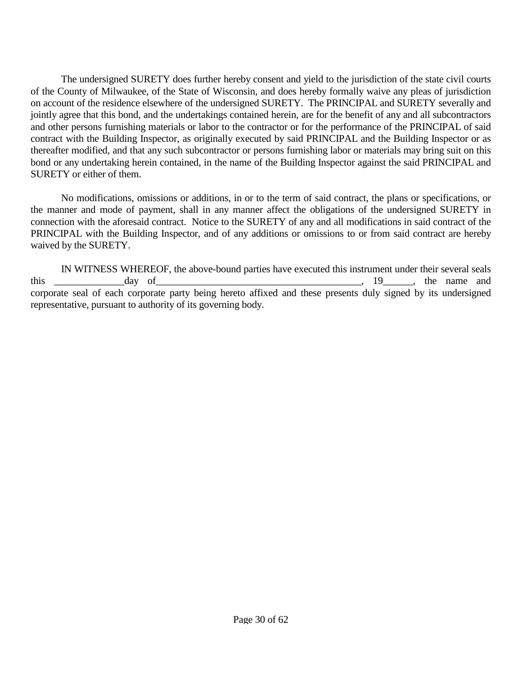The undersigned SURETY does further hereby consent and yield to the jurisdiction of the state civil courts of the County of Milwaukee, of the State of Wisconsin, and does hereby formally waive any pleas of jurisdiction on account of the residence elsewhere of the undersigned SURETY. The PRINCIPAL and SURETY severally and jointly agree that this bond, and the undertakings contained herein, are for the benefit of any and all subcontractors and other persons furnishing materials or labor to the contractor or for the performance of the PRINCIPAL of said contract with the Building Inspector, as originally executed by said PRINCIPAL and the Building Inspector or as thereafter modified, and that any such subcontractor or persons furnishing labor or materials may bring suit on this bond or any undertaking herein contained, in the name of the Building Inspector against the said PRINCIPAL and SURETY or either of them.

No modifications, omissions or additions, in or to the term of said contract, the plans or specifications, or the manner and mode of payment, shall in any manner affect the obligations of the undersigned SURETY in connection with the aforesaid contract. Notice to the SURETY of any and all modifications in said contract of the PRINCIPAL with the Building Inspector, and of any additions or omissions to or from said contract are hereby waived by the SURETY.

IN WITNESS WHEREOF, the above-bound parties have executed this instrument under their several seals this day of this day of the name and the set of the name and the name and the name and the name and the name and the name and the name and the name and the name and the name and the name and the name and the name and the n corporate seal of each corporate party being hereto affixed and these presents duly signed by its undersigned representative, pursuant to authority of its governing body.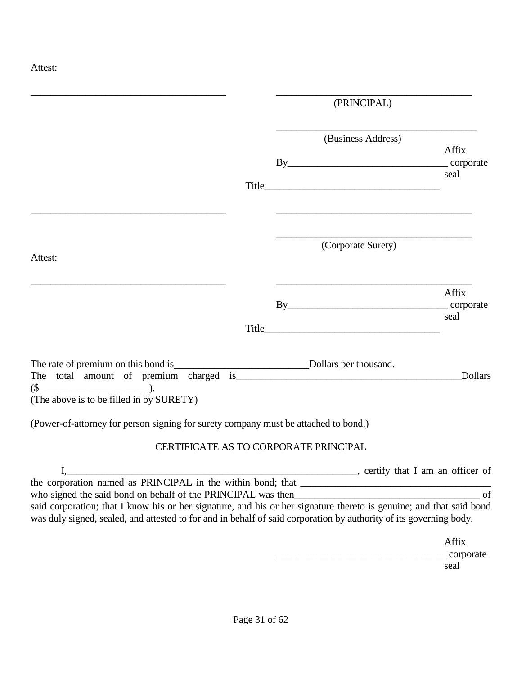Attest:

|                                                                                                                                                                                                                                                                                                                                                                                                                                                              | (PRINCIPAL)                           |                                     |
|--------------------------------------------------------------------------------------------------------------------------------------------------------------------------------------------------------------------------------------------------------------------------------------------------------------------------------------------------------------------------------------------------------------------------------------------------------------|---------------------------------------|-------------------------------------|
|                                                                                                                                                                                                                                                                                                                                                                                                                                                              | (Business Address)<br>By              | Affix<br>$\equiv$ corporate<br>seal |
|                                                                                                                                                                                                                                                                                                                                                                                                                                                              |                                       |                                     |
| Attest:                                                                                                                                                                                                                                                                                                                                                                                                                                                      | (Corporate Surety)                    |                                     |
|                                                                                                                                                                                                                                                                                                                                                                                                                                                              | By<br>Title <b>Example 2018</b>       | Affix<br>$\equiv$ corporate<br>seal |
| The rate of premium on this bond is                                                                                                                                                                                                                                                                                                                                                                                                                          | Dollars per thousand.                 | <b>Dollars</b>                      |
| $(\$ $\qquad \qquad$ $\qquad \qquad$ $\qquad \qquad$ $\qquad \qquad$ $\qquad \qquad$ $\qquad \qquad$ $\qquad \qquad$ $\qquad \qquad$ $\qquad \qquad$ $\qquad \qquad$ $\qquad \qquad$ $\qquad \qquad$ $\qquad \qquad$ $\qquad \qquad$ $\qquad \qquad$ $\qquad \qquad$ $\qquad \qquad$ $\qquad \qquad$ $\qquad \qquad$ $\qquad \qquad \qquad$ $\qquad \qquad \qquad$ $\qquad \qquad \qquad \qquad$ $\qquad \qquad$<br>(The above is to be filled in by SURETY) |                                       |                                     |
| (Power-of-attorney for person signing for surety company must be attached to bond.)                                                                                                                                                                                                                                                                                                                                                                          |                                       |                                     |
|                                                                                                                                                                                                                                                                                                                                                                                                                                                              | CERTIFICATE AS TO CORPORATE PRINCIPAL |                                     |
| I, certify that I am an officer of<br>the corporation named as PRINCIPAL in the within bond; that                                                                                                                                                                                                                                                                                                                                                            |                                       |                                     |
|                                                                                                                                                                                                                                                                                                                                                                                                                                                              |                                       |                                     |
| said corporation; that I know his or her signature, and his or her signature thereto is genuine; and that said bond<br>was duly signed, sealed, and attested to for and in behalf of said corporation by authority of its governing body.                                                                                                                                                                                                                    |                                       |                                     |

| Affix     |
|-----------|
| corporate |
| seal      |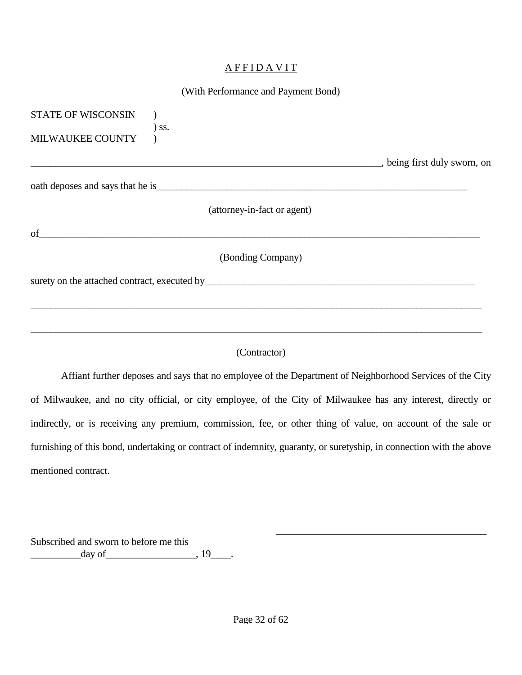### A F F I D A V I T

(With Performance and Payment Bond)

| <b>STATE OF WISCONSIN</b> |                             |                            |
|---------------------------|-----------------------------|----------------------------|
| MILWAUKEE COUNTY          | SS.                         |                            |
|                           |                             | being first duly sworn, on |
|                           |                             |                            |
|                           | (attorney-in-fact or agent) |                            |
|                           | of $\qquad \qquad$          |                            |
|                           | (Bonding Company)           |                            |
|                           |                             |                            |
|                           |                             |                            |
|                           |                             |                            |

#### (Contractor)

Affiant further deposes and says that no employee of the Department of Neighborhood Services of the City of Milwaukee, and no city official, or city employee, of the City of Milwaukee has any interest, directly or indirectly, or is receiving any premium, commission, fee, or other thing of value, on account of the sale or furnishing of this bond, undertaking or contract of indemnity, guaranty, or suretyship, in connection with the above mentioned contract.

Subscribed and sworn to before me this  $day of$   $\qquad \qquad 4$   $\overline{\phantom{a}}$  , where the contract of the contract of the contract of the contract of the contract of the contract of the contract of the contract of the contract of the contract of the contract of the contract of the contr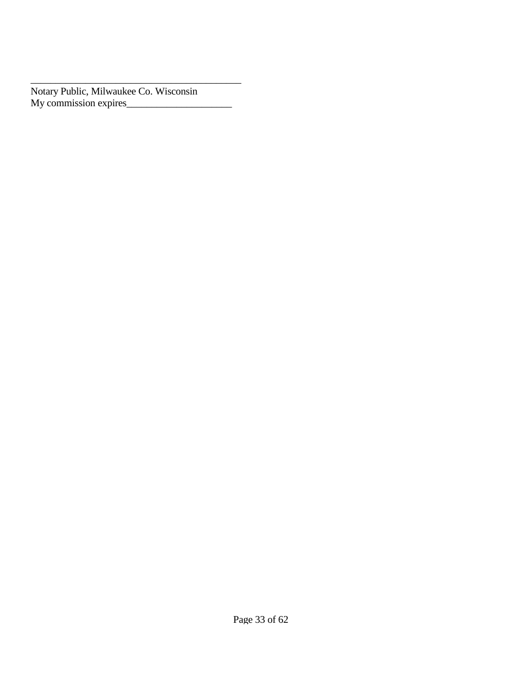\_\_\_\_\_\_\_\_\_\_\_\_\_\_\_\_\_\_\_\_\_\_\_\_\_\_\_\_\_\_\_\_\_\_\_\_\_\_\_\_\_\_ Notary Public, Milwaukee Co. Wisconsin My commission expires\_\_\_\_\_\_\_\_\_\_\_\_\_\_\_\_\_\_\_\_\_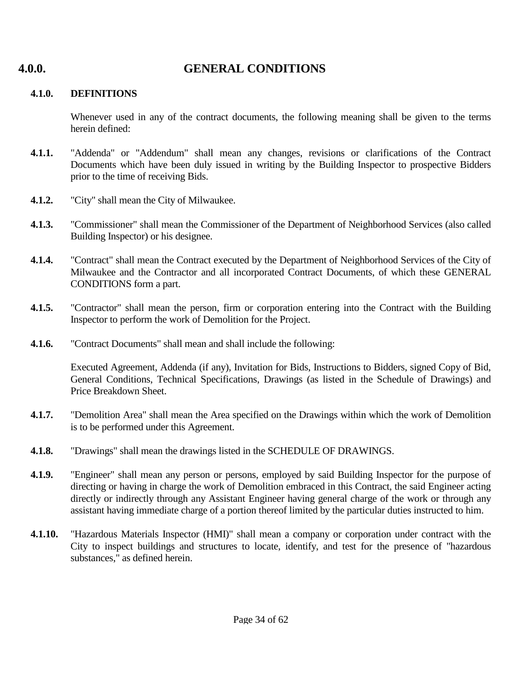# **4.0.0. GENERAL CONDITIONS**

# **4.1.0. DEFINITIONS**

Whenever used in any of the contract documents, the following meaning shall be given to the terms herein defined:

- **4.1.1.** "Addenda" or "Addendum" shall mean any changes, revisions or clarifications of the Contract Documents which have been duly issued in writing by the Building Inspector to prospective Bidders prior to the time of receiving Bids.
- **4.1.2.** "City" shall mean the City of Milwaukee.
- **4.1.3.** "Commissioner" shall mean the Commissioner of the Department of Neighborhood Services (also called Building Inspector) or his designee.
- **4.1.4.** "Contract" shall mean the Contract executed by the Department of Neighborhood Services of the City of Milwaukee and the Contractor and all incorporated Contract Documents, of which these GENERAL CONDITIONS form a part.
- **4.1.5.** "Contractor" shall mean the person, firm or corporation entering into the Contract with the Building Inspector to perform the work of Demolition for the Project.
- **4.1.6.** "Contract Documents" shall mean and shall include the following:

Executed Agreement, Addenda (if any), Invitation for Bids, Instructions to Bidders, signed Copy of Bid, General Conditions, Technical Specifications, Drawings (as listed in the Schedule of Drawings) and Price Breakdown Sheet.

- **4.1.7.** "Demolition Area" shall mean the Area specified on the Drawings within which the work of Demolition is to be performed under this Agreement.
- **4.1.8.** "Drawings" shall mean the drawings listed in the SCHEDULE OF DRAWINGS.
- **4.1.9.** "Engineer" shall mean any person or persons, employed by said Building Inspector for the purpose of directing or having in charge the work of Demolition embraced in this Contract, the said Engineer acting directly or indirectly through any Assistant Engineer having general charge of the work or through any assistant having immediate charge of a portion thereof limited by the particular duties instructed to him.
- **4.1.10.** "Hazardous Materials Inspector (HMI)" shall mean a company or corporation under contract with the City to inspect buildings and structures to locate, identify, and test for the presence of "hazardous substances," as defined herein.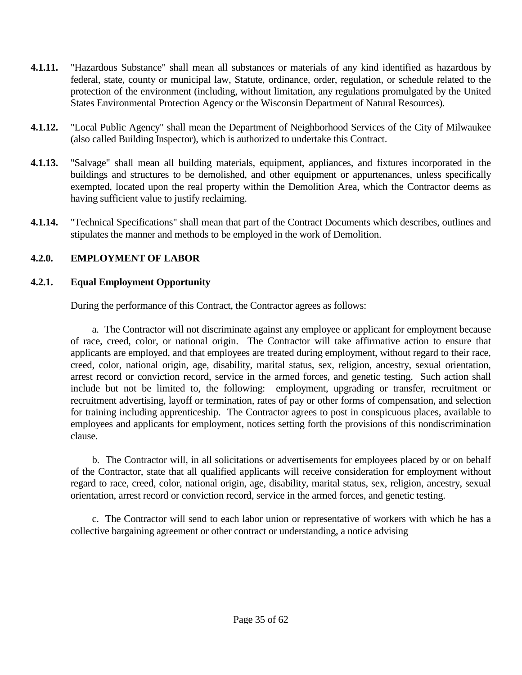- **4.1.11.** "Hazardous Substance" shall mean all substances or materials of any kind identified as hazardous by federal, state, county or municipal law, Statute, ordinance, order, regulation, or schedule related to the protection of the environment (including, without limitation, any regulations promulgated by the United States Environmental Protection Agency or the Wisconsin Department of Natural Resources).
- **4.1.12.** "Local Public Agency" shall mean the Department of Neighborhood Services of the City of Milwaukee (also called Building Inspector), which is authorized to undertake this Contract.
- **4.1.13.** "Salvage" shall mean all building materials, equipment, appliances, and fixtures incorporated in the buildings and structures to be demolished, and other equipment or appurtenances, unless specifically exempted, located upon the real property within the Demolition Area, which the Contractor deems as having sufficient value to justify reclaiming.
- **4.1.14.** "Technical Specifications" shall mean that part of the Contract Documents which describes, outlines and stipulates the manner and methods to be employed in the work of Demolition.

# **4.2.0. EMPLOYMENT OF LABOR**

# **4.2.1. Equal Employment Opportunity**

During the performance of this Contract, the Contractor agrees as follows:

a. The Contractor will not discriminate against any employee or applicant for employment because of race, creed, color, or national origin. The Contractor will take affirmative action to ensure that applicants are employed, and that employees are treated during employment, without regard to their race, creed, color, national origin, age, disability, marital status, sex, religion, ancestry, sexual orientation, arrest record or conviction record, service in the armed forces, and genetic testing. Such action shall include but not be limited to, the following: employment, upgrading or transfer, recruitment or recruitment advertising, layoff or termination, rates of pay or other forms of compensation, and selection for training including apprenticeship. The Contractor agrees to post in conspicuous places, available to employees and applicants for employment, notices setting forth the provisions of this nondiscrimination clause.

b. The Contractor will, in all solicitations or advertisements for employees placed by or on behalf of the Contractor, state that all qualified applicants will receive consideration for employment without regard to race, creed, color, national origin, age, disability, marital status, sex, religion, ancestry, sexual orientation, arrest record or conviction record, service in the armed forces, and genetic testing.

c. The Contractor will send to each labor union or representative of workers with which he has a collective bargaining agreement or other contract or understanding, a notice advising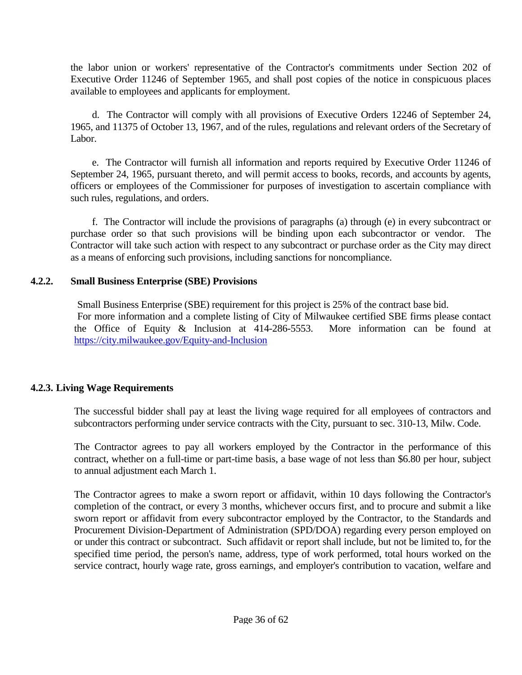the labor union or workers' representative of the Contractor's commitments under Section 202 of Executive Order 11246 of September 1965, and shall post copies of the notice in conspicuous places available to employees and applicants for employment.

d. The Contractor will comply with all provisions of Executive Orders 12246 of September 24, 1965, and 11375 of October 13, 1967, and of the rules, regulations and relevant orders of the Secretary of Labor.

e. The Contractor will furnish all information and reports required by Executive Order 11246 of September 24, 1965, pursuant thereto, and will permit access to books, records, and accounts by agents, officers or employees of the Commissioner for purposes of investigation to ascertain compliance with such rules, regulations, and orders.

f. The Contractor will include the provisions of paragraphs (a) through (e) in every subcontract or purchase order so that such provisions will be binding upon each subcontractor or vendor. The Contractor will take such action with respect to any subcontract or purchase order as the City may direct as a means of enforcing such provisions, including sanctions for noncompliance.

### **4.2.2. Small Business Enterprise (SBE) Provisions**

 Small Business Enterprise (SBE) requirement for this project is 25% of the contract base bid. For more information and a complete listing of City of Milwaukee certified SBE firms please contact the Office of Equity & Inclusion at 414-286-5553. More information can be found at <https://city.milwaukee.gov/Equity-and-Inclusion>

# **4.2.3. Living Wage Requirements**

The successful bidder shall pay at least the living wage required for all employees of contractors and subcontractors performing under service contracts with the City, pursuant to sec. 310-13, Milw. Code.

The Contractor agrees to pay all workers employed by the Contractor in the performance of this contract, whether on a full-time or part-time basis, a base wage of not less than \$6.80 per hour, subject to annual adjustment each March 1.

The Contractor agrees to make a sworn report or affidavit, within 10 days following the Contractor's completion of the contract, or every 3 months, whichever occurs first, and to procure and submit a like sworn report or affidavit from every subcontractor employed by the Contractor, to the Standards and Procurement Division-Department of Administration (SPD/DOA) regarding every person employed on or under this contract or subcontract. Such affidavit or report shall include, but not be limited to, for the specified time period, the person's name, address, type of work performed, total hours worked on the service contract, hourly wage rate, gross earnings, and employer's contribution to vacation, welfare and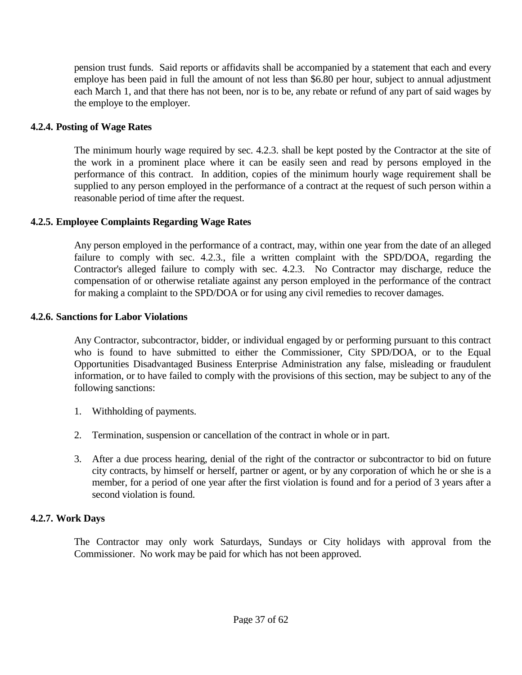pension trust funds. Said reports or affidavits shall be accompanied by a statement that each and every employe has been paid in full the amount of not less than \$6.80 per hour, subject to annual adjustment each March 1, and that there has not been, nor is to be, any rebate or refund of any part of said wages by the employe to the employer.

#### **4.2.4. Posting of Wage Rates**

The minimum hourly wage required by sec. 4.2.3. shall be kept posted by the Contractor at the site of the work in a prominent place where it can be easily seen and read by persons employed in the performance of this contract. In addition, copies of the minimum hourly wage requirement shall be supplied to any person employed in the performance of a contract at the request of such person within a reasonable period of time after the request.

### **4.2.5. Employee Complaints Regarding Wage Rates**

Any person employed in the performance of a contract, may, within one year from the date of an alleged failure to comply with sec. 4.2.3., file a written complaint with the SPD/DOA, regarding the Contractor's alleged failure to comply with sec. 4.2.3. No Contractor may discharge, reduce the compensation of or otherwise retaliate against any person employed in the performance of the contract for making a complaint to the SPD/DOA or for using any civil remedies to recover damages.

#### **4.2.6. Sanctions for Labor Violations**

Any Contractor, subcontractor, bidder, or individual engaged by or performing pursuant to this contract who is found to have submitted to either the Commissioner, City SPD/DOA, or to the Equal Opportunities Disadvantaged Business Enterprise Administration any false, misleading or fraudulent information, or to have failed to comply with the provisions of this section, may be subject to any of the following sanctions:

- 1. Withholding of payments.
- 2. Termination, suspension or cancellation of the contract in whole or in part.
- 3. After a due process hearing, denial of the right of the contractor or subcontractor to bid on future city contracts, by himself or herself, partner or agent, or by any corporation of which he or she is a member, for a period of one year after the first violation is found and for a period of 3 years after a second violation is found.

# **4.2.7. Work Days**

The Contractor may only work Saturdays, Sundays or City holidays with approval from the Commissioner. No work may be paid for which has not been approved.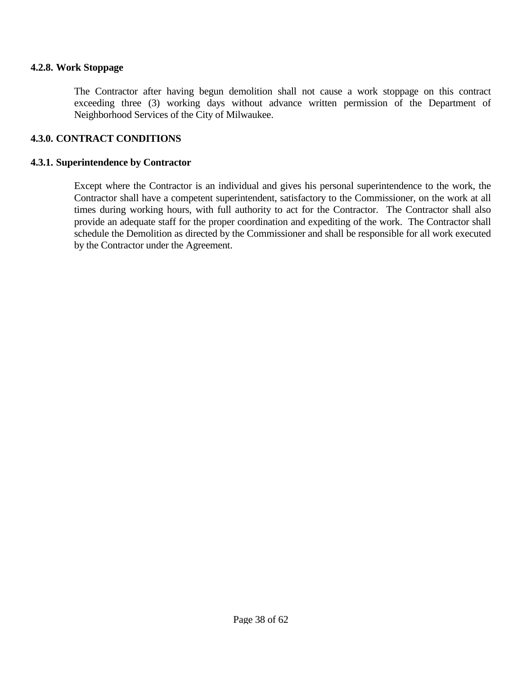#### **4.2.8. Work Stoppage**

The Contractor after having begun demolition shall not cause a work stoppage on this contract exceeding three (3) working days without advance written permission of the Department of Neighborhood Services of the City of Milwaukee.

#### **4.3.0. CONTRACT CONDITIONS**

#### **4.3.1. Superintendence by Contractor**

Except where the Contractor is an individual and gives his personal superintendence to the work, the Contractor shall have a competent superintendent, satisfactory to the Commissioner, on the work at all times during working hours, with full authority to act for the Contractor. The Contractor shall also provide an adequate staff for the proper coordination and expediting of the work. The Contractor shall schedule the Demolition as directed by the Commissioner and shall be responsible for all work executed by the Contractor under the Agreement.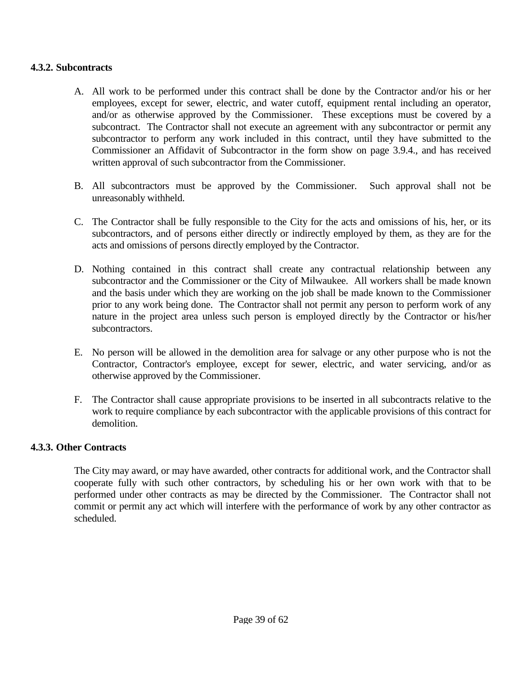### **4.3.2. Subcontracts**

- A. All work to be performed under this contract shall be done by the Contractor and/or his or her employees, except for sewer, electric, and water cutoff, equipment rental including an operator, and/or as otherwise approved by the Commissioner. These exceptions must be covered by a subcontract. The Contractor shall not execute an agreement with any subcontractor or permit any subcontractor to perform any work included in this contract, until they have submitted to the Commissioner an Affidavit of Subcontractor in the form show on page 3.9.4., and has received written approval of such subcontractor from the Commissioner.
- B. All subcontractors must be approved by the Commissioner. Such approval shall not be unreasonably withheld.
- C. The Contractor shall be fully responsible to the City for the acts and omissions of his, her, or its subcontractors, and of persons either directly or indirectly employed by them, as they are for the acts and omissions of persons directly employed by the Contractor.
- D. Nothing contained in this contract shall create any contractual relationship between any subcontractor and the Commissioner or the City of Milwaukee. All workers shall be made known and the basis under which they are working on the job shall be made known to the Commissioner prior to any work being done. The Contractor shall not permit any person to perform work of any nature in the project area unless such person is employed directly by the Contractor or his/her subcontractors.
- E. No person will be allowed in the demolition area for salvage or any other purpose who is not the Contractor, Contractor's employee, except for sewer, electric, and water servicing, and/or as otherwise approved by the Commissioner.
- F. The Contractor shall cause appropriate provisions to be inserted in all subcontracts relative to the work to require compliance by each subcontractor with the applicable provisions of this contract for demolition.

#### **4.3.3. Other Contracts**

The City may award, or may have awarded, other contracts for additional work, and the Contractor shall cooperate fully with such other contractors, by scheduling his or her own work with that to be performed under other contracts as may be directed by the Commissioner. The Contractor shall not commit or permit any act which will interfere with the performance of work by any other contractor as scheduled.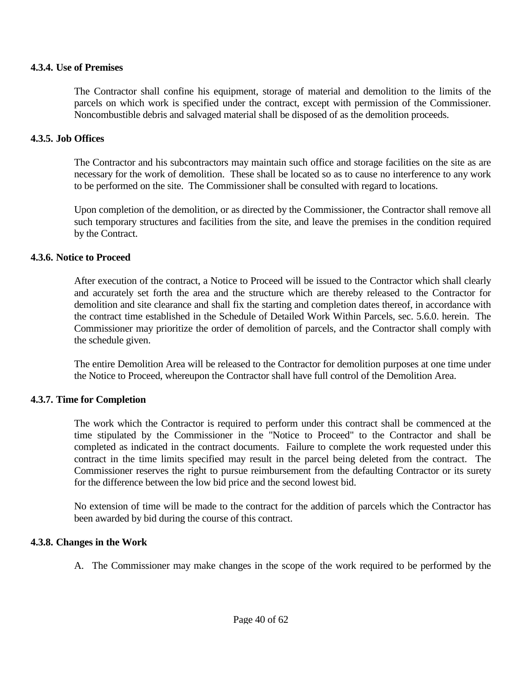#### **4.3.4. Use of Premises**

The Contractor shall confine his equipment, storage of material and demolition to the limits of the parcels on which work is specified under the contract, except with permission of the Commissioner. Noncombustible debris and salvaged material shall be disposed of as the demolition proceeds.

#### **4.3.5. Job Offices**

The Contractor and his subcontractors may maintain such office and storage facilities on the site as are necessary for the work of demolition. These shall be located so as to cause no interference to any work to be performed on the site. The Commissioner shall be consulted with regard to locations.

Upon completion of the demolition, or as directed by the Commissioner, the Contractor shall remove all such temporary structures and facilities from the site, and leave the premises in the condition required by the Contract.

#### **4.3.6. Notice to Proceed**

After execution of the contract, a Notice to Proceed will be issued to the Contractor which shall clearly and accurately set forth the area and the structure which are thereby released to the Contractor for demolition and site clearance and shall fix the starting and completion dates thereof, in accordance with the contract time established in the Schedule of Detailed Work Within Parcels, sec. 5.6.0. herein. The Commissioner may prioritize the order of demolition of parcels, and the Contractor shall comply with the schedule given.

The entire Demolition Area will be released to the Contractor for demolition purposes at one time under the Notice to Proceed, whereupon the Contractor shall have full control of the Demolition Area.

#### **4.3.7. Time for Completion**

The work which the Contractor is required to perform under this contract shall be commenced at the time stipulated by the Commissioner in the "Notice to Proceed" to the Contractor and shall be completed as indicated in the contract documents. Failure to complete the work requested under this contract in the time limits specified may result in the parcel being deleted from the contract. The Commissioner reserves the right to pursue reimbursement from the defaulting Contractor or its surety for the difference between the low bid price and the second lowest bid.

No extension of time will be made to the contract for the addition of parcels which the Contractor has been awarded by bid during the course of this contract.

#### **4.3.8. Changes in the Work**

A. The Commissioner may make changes in the scope of the work required to be performed by the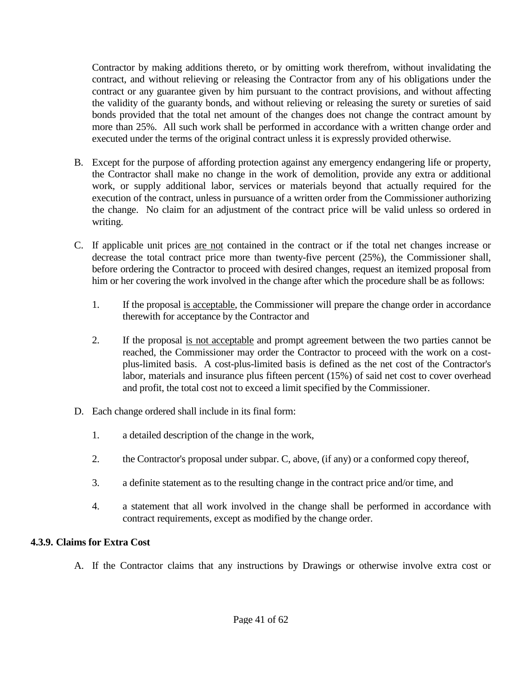Contractor by making additions thereto, or by omitting work therefrom, without invalidating the contract, and without relieving or releasing the Contractor from any of his obligations under the contract or any guarantee given by him pursuant to the contract provisions, and without affecting the validity of the guaranty bonds, and without relieving or releasing the surety or sureties of said bonds provided that the total net amount of the changes does not change the contract amount by more than 25%. All such work shall be performed in accordance with a written change order and executed under the terms of the original contract unless it is expressly provided otherwise.

- B. Except for the purpose of affording protection against any emergency endangering life or property, the Contractor shall make no change in the work of demolition, provide any extra or additional work, or supply additional labor, services or materials beyond that actually required for the execution of the contract, unless in pursuance of a written order from the Commissioner authorizing the change. No claim for an adjustment of the contract price will be valid unless so ordered in writing.
- C. If applicable unit prices are not contained in the contract or if the total net changes increase or decrease the total contract price more than twenty-five percent (25%), the Commissioner shall, before ordering the Contractor to proceed with desired changes, request an itemized proposal from him or her covering the work involved in the change after which the procedure shall be as follows:
	- 1. If the proposal is acceptable, the Commissioner will prepare the change order in accordance therewith for acceptance by the Contractor and
	- 2. If the proposal is not acceptable and prompt agreement between the two parties cannot be reached, the Commissioner may order the Contractor to proceed with the work on a costplus-limited basis. A cost-plus-limited basis is defined as the net cost of the Contractor's labor, materials and insurance plus fifteen percent (15%) of said net cost to cover overhead and profit, the total cost not to exceed a limit specified by the Commissioner.
- D. Each change ordered shall include in its final form:
	- 1. a detailed description of the change in the work,
	- 2. the Contractor's proposal under subpar. C, above, (if any) or a conformed copy thereof,
	- 3. a definite statement as to the resulting change in the contract price and/or time, and
	- 4. a statement that all work involved in the change shall be performed in accordance with contract requirements, except as modified by the change order.

#### **4.3.9. Claims for Extra Cost**

A. If the Contractor claims that any instructions by Drawings or otherwise involve extra cost or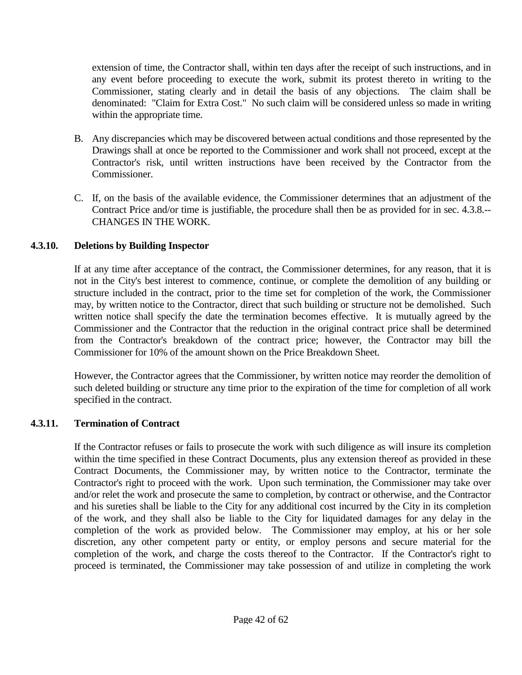extension of time, the Contractor shall, within ten days after the receipt of such instructions, and in any event before proceeding to execute the work, submit its protest thereto in writing to the Commissioner, stating clearly and in detail the basis of any objections. The claim shall be denominated: "Claim for Extra Cost." No such claim will be considered unless so made in writing within the appropriate time.

- B. Any discrepancies which may be discovered between actual conditions and those represented by the Drawings shall at once be reported to the Commissioner and work shall not proceed, except at the Contractor's risk, until written instructions have been received by the Contractor from the Commissioner.
- C. If, on the basis of the available evidence, the Commissioner determines that an adjustment of the Contract Price and/or time is justifiable, the procedure shall then be as provided for in sec. 4.3.8.-- CHANGES IN THE WORK.

### **4.3.10. Deletions by Building Inspector**

If at any time after acceptance of the contract, the Commissioner determines, for any reason, that it is not in the City's best interest to commence, continue, or complete the demolition of any building or structure included in the contract, prior to the time set for completion of the work, the Commissioner may, by written notice to the Contractor, direct that such building or structure not be demolished. Such written notice shall specify the date the termination becomes effective. It is mutually agreed by the Commissioner and the Contractor that the reduction in the original contract price shall be determined from the Contractor's breakdown of the contract price; however, the Contractor may bill the Commissioner for 10% of the amount shown on the Price Breakdown Sheet.

However, the Contractor agrees that the Commissioner, by written notice may reorder the demolition of such deleted building or structure any time prior to the expiration of the time for completion of all work specified in the contract.

# **4.3.11. Termination of Contract**

If the Contractor refuses or fails to prosecute the work with such diligence as will insure its completion within the time specified in these Contract Documents, plus any extension thereof as provided in these Contract Documents, the Commissioner may, by written notice to the Contractor, terminate the Contractor's right to proceed with the work. Upon such termination, the Commissioner may take over and/or relet the work and prosecute the same to completion, by contract or otherwise, and the Contractor and his sureties shall be liable to the City for any additional cost incurred by the City in its completion of the work, and they shall also be liable to the City for liquidated damages for any delay in the completion of the work as provided below. The Commissioner may employ, at his or her sole discretion, any other competent party or entity, or employ persons and secure material for the completion of the work, and charge the costs thereof to the Contractor. If the Contractor's right to proceed is terminated, the Commissioner may take possession of and utilize in completing the work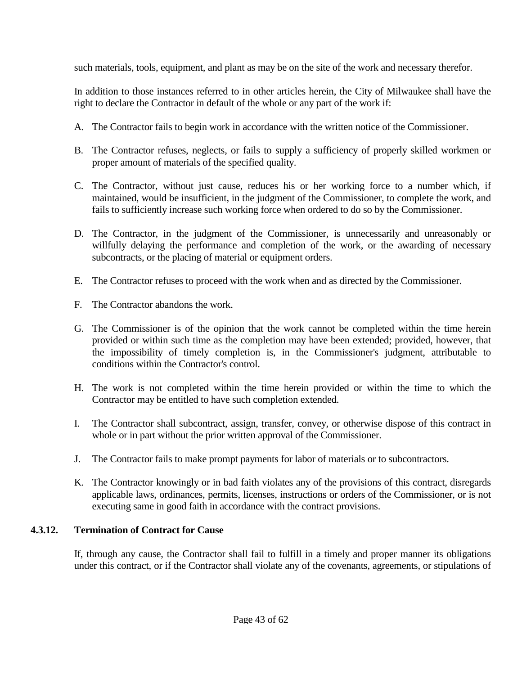such materials, tools, equipment, and plant as may be on the site of the work and necessary therefor.

In addition to those instances referred to in other articles herein, the City of Milwaukee shall have the right to declare the Contractor in default of the whole or any part of the work if:

- A. The Contractor fails to begin work in accordance with the written notice of the Commissioner.
- B. The Contractor refuses, neglects, or fails to supply a sufficiency of properly skilled workmen or proper amount of materials of the specified quality.
- C. The Contractor, without just cause, reduces his or her working force to a number which, if maintained, would be insufficient, in the judgment of the Commissioner, to complete the work, and fails to sufficiently increase such working force when ordered to do so by the Commissioner.
- D. The Contractor, in the judgment of the Commissioner, is unnecessarily and unreasonably or willfully delaying the performance and completion of the work, or the awarding of necessary subcontracts, or the placing of material or equipment orders.
- E. The Contractor refuses to proceed with the work when and as directed by the Commissioner.
- F. The Contractor abandons the work.
- G. The Commissioner is of the opinion that the work cannot be completed within the time herein provided or within such time as the completion may have been extended; provided, however, that the impossibility of timely completion is, in the Commissioner's judgment, attributable to conditions within the Contractor's control.
- H. The work is not completed within the time herein provided or within the time to which the Contractor may be entitled to have such completion extended.
- I. The Contractor shall subcontract, assign, transfer, convey, or otherwise dispose of this contract in whole or in part without the prior written approval of the Commissioner.
- J. The Contractor fails to make prompt payments for labor of materials or to subcontractors.
- K. The Contractor knowingly or in bad faith violates any of the provisions of this contract, disregards applicable laws, ordinances, permits, licenses, instructions or orders of the Commissioner, or is not executing same in good faith in accordance with the contract provisions.

#### **4.3.12. Termination of Contract for Cause**

If, through any cause, the Contractor shall fail to fulfill in a timely and proper manner its obligations under this contract, or if the Contractor shall violate any of the covenants, agreements, or stipulations of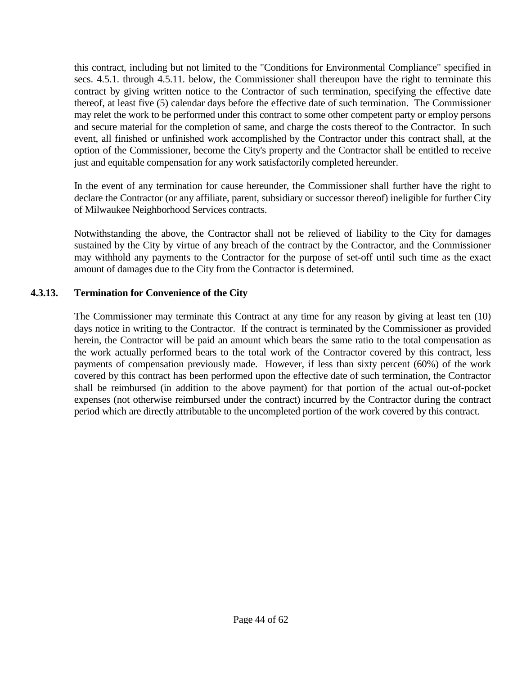this contract, including but not limited to the "Conditions for Environmental Compliance" specified in secs. 4.5.1. through 4.5.11. below, the Commissioner shall thereupon have the right to terminate this contract by giving written notice to the Contractor of such termination, specifying the effective date thereof, at least five (5) calendar days before the effective date of such termination. The Commissioner may relet the work to be performed under this contract to some other competent party or employ persons and secure material for the completion of same, and charge the costs thereof to the Contractor. In such event, all finished or unfinished work accomplished by the Contractor under this contract shall, at the option of the Commissioner, become the City's property and the Contractor shall be entitled to receive just and equitable compensation for any work satisfactorily completed hereunder.

In the event of any termination for cause hereunder, the Commissioner shall further have the right to declare the Contractor (or any affiliate, parent, subsidiary or successor thereof) ineligible for further City of Milwaukee Neighborhood Services contracts.

Notwithstanding the above, the Contractor shall not be relieved of liability to the City for damages sustained by the City by virtue of any breach of the contract by the Contractor, and the Commissioner may withhold any payments to the Contractor for the purpose of set-off until such time as the exact amount of damages due to the City from the Contractor is determined.

# **4.3.13. Termination for Convenience of the City**

The Commissioner may terminate this Contract at any time for any reason by giving at least ten (10) days notice in writing to the Contractor. If the contract is terminated by the Commissioner as provided herein, the Contractor will be paid an amount which bears the same ratio to the total compensation as the work actually performed bears to the total work of the Contractor covered by this contract, less payments of compensation previously made. However, if less than sixty percent (60%) of the work covered by this contract has been performed upon the effective date of such termination, the Contractor shall be reimbursed (in addition to the above payment) for that portion of the actual out-of-pocket expenses (not otherwise reimbursed under the contract) incurred by the Contractor during the contract period which are directly attributable to the uncompleted portion of the work covered by this contract.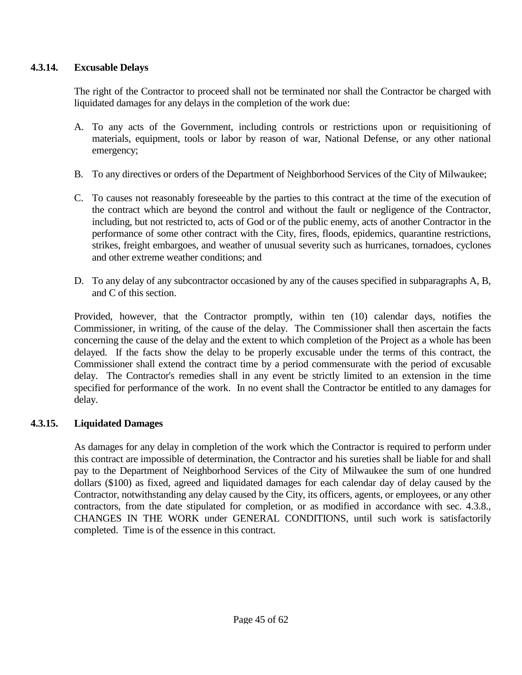# **4.3.14. Excusable Delays**

The right of the Contractor to proceed shall not be terminated nor shall the Contractor be charged with liquidated damages for any delays in the completion of the work due:

- A. To any acts of the Government, including controls or restrictions upon or requisitioning of materials, equipment, tools or labor by reason of war, National Defense, or any other national emergency;
- B. To any directives or orders of the Department of Neighborhood Services of the City of Milwaukee;
- C. To causes not reasonably foreseeable by the parties to this contract at the time of the execution of the contract which are beyond the control and without the fault or negligence of the Contractor, including, but not restricted to, acts of God or of the public enemy, acts of another Contractor in the performance of some other contract with the City, fires, floods, epidemics, quarantine restrictions, strikes, freight embargoes, and weather of unusual severity such as hurricanes, tornadoes, cyclones and other extreme weather conditions; and
- D. To any delay of any subcontractor occasioned by any of the causes specified in subparagraphs A, B, and C of this section.

Provided, however, that the Contractor promptly, within ten (10) calendar days, notifies the Commissioner, in writing, of the cause of the delay. The Commissioner shall then ascertain the facts concerning the cause of the delay and the extent to which completion of the Project as a whole has been delayed. If the facts show the delay to be properly excusable under the terms of this contract, the Commissioner shall extend the contract time by a period commensurate with the period of excusable delay. The Contractor's remedies shall in any event be strictly limited to an extension in the time specified for performance of the work. In no event shall the Contractor be entitled to any damages for delay.

#### **4.3.15. Liquidated Damages**

As damages for any delay in completion of the work which the Contractor is required to perform under this contract are impossible of determination, the Contractor and his sureties shall be liable for and shall pay to the Department of Neighborhood Services of the City of Milwaukee the sum of one hundred dollars (\$100) as fixed, agreed and liquidated damages for each calendar day of delay caused by the Contractor, notwithstanding any delay caused by the City, its officers, agents, or employees, or any other contractors, from the date stipulated for completion, or as modified in accordance with sec. 4.3.8., CHANGES IN THE WORK under GENERAL CONDITIONS, until such work is satisfactorily completed. Time is of the essence in this contract.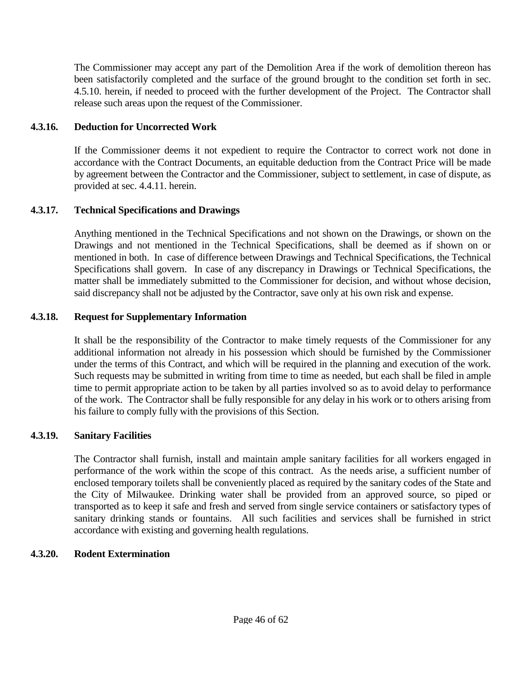The Commissioner may accept any part of the Demolition Area if the work of demolition thereon has been satisfactorily completed and the surface of the ground brought to the condition set forth in sec. 4.5.10. herein, if needed to proceed with the further development of the Project. The Contractor shall release such areas upon the request of the Commissioner.

# **4.3.16. Deduction for Uncorrected Work**

If the Commissioner deems it not expedient to require the Contractor to correct work not done in accordance with the Contract Documents, an equitable deduction from the Contract Price will be made by agreement between the Contractor and the Commissioner, subject to settlement, in case of dispute, as provided at sec. 4.4.11. herein.

# **4.3.17. Technical Specifications and Drawings**

Anything mentioned in the Technical Specifications and not shown on the Drawings, or shown on the Drawings and not mentioned in the Technical Specifications, shall be deemed as if shown on or mentioned in both. In case of difference between Drawings and Technical Specifications, the Technical Specifications shall govern. In case of any discrepancy in Drawings or Technical Specifications, the matter shall be immediately submitted to the Commissioner for decision, and without whose decision, said discrepancy shall not be adjusted by the Contractor, save only at his own risk and expense.

# **4.3.18. Request for Supplementary Information**

It shall be the responsibility of the Contractor to make timely requests of the Commissioner for any additional information not already in his possession which should be furnished by the Commissioner under the terms of this Contract, and which will be required in the planning and execution of the work. Such requests may be submitted in writing from time to time as needed, but each shall be filed in ample time to permit appropriate action to be taken by all parties involved so as to avoid delay to performance of the work. The Contractor shall be fully responsible for any delay in his work or to others arising from his failure to comply fully with the provisions of this Section.

# **4.3.19. Sanitary Facilities**

The Contractor shall furnish, install and maintain ample sanitary facilities for all workers engaged in performance of the work within the scope of this contract. As the needs arise, a sufficient number of enclosed temporary toilets shall be conveniently placed as required by the sanitary codes of the State and the City of Milwaukee. Drinking water shall be provided from an approved source, so piped or transported as to keep it safe and fresh and served from single service containers or satisfactory types of sanitary drinking stands or fountains. All such facilities and services shall be furnished in strict accordance with existing and governing health regulations.

# **4.3.20. Rodent Extermination**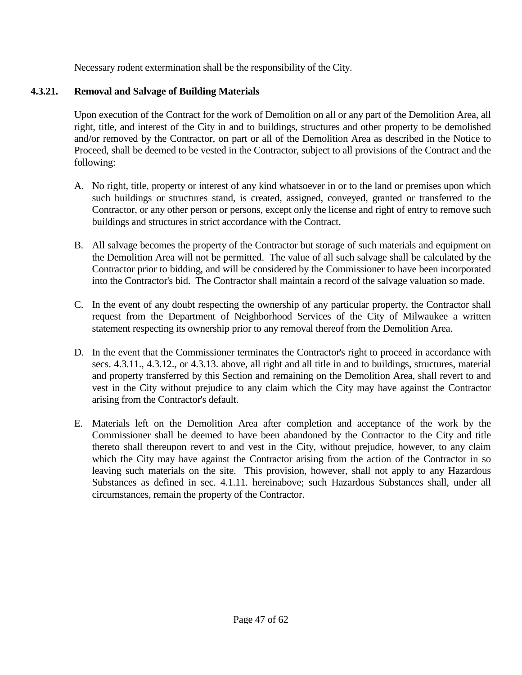Necessary rodent extermination shall be the responsibility of the City.

# **4.3.21. Removal and Salvage of Building Materials**

Upon execution of the Contract for the work of Demolition on all or any part of the Demolition Area, all right, title, and interest of the City in and to buildings, structures and other property to be demolished and/or removed by the Contractor, on part or all of the Demolition Area as described in the Notice to Proceed, shall be deemed to be vested in the Contractor, subject to all provisions of the Contract and the following:

- A. No right, title, property or interest of any kind whatsoever in or to the land or premises upon which such buildings or structures stand, is created, assigned, conveyed, granted or transferred to the Contractor, or any other person or persons, except only the license and right of entry to remove such buildings and structures in strict accordance with the Contract.
- B. All salvage becomes the property of the Contractor but storage of such materials and equipment on the Demolition Area will not be permitted. The value of all such salvage shall be calculated by the Contractor prior to bidding, and will be considered by the Commissioner to have been incorporated into the Contractor's bid. The Contractor shall maintain a record of the salvage valuation so made.
- C. In the event of any doubt respecting the ownership of any particular property, the Contractor shall request from the Department of Neighborhood Services of the City of Milwaukee a written statement respecting its ownership prior to any removal thereof from the Demolition Area.
- D. In the event that the Commissioner terminates the Contractor's right to proceed in accordance with secs. 4.3.11., 4.3.12., or 4.3.13. above, all right and all title in and to buildings, structures, material and property transferred by this Section and remaining on the Demolition Area, shall revert to and vest in the City without prejudice to any claim which the City may have against the Contractor arising from the Contractor's default.
- E. Materials left on the Demolition Area after completion and acceptance of the work by the Commissioner shall be deemed to have been abandoned by the Contractor to the City and title thereto shall thereupon revert to and vest in the City, without prejudice, however, to any claim which the City may have against the Contractor arising from the action of the Contractor in so leaving such materials on the site. This provision, however, shall not apply to any Hazardous Substances as defined in sec. 4.1.11. hereinabove; such Hazardous Substances shall, under all circumstances, remain the property of the Contractor.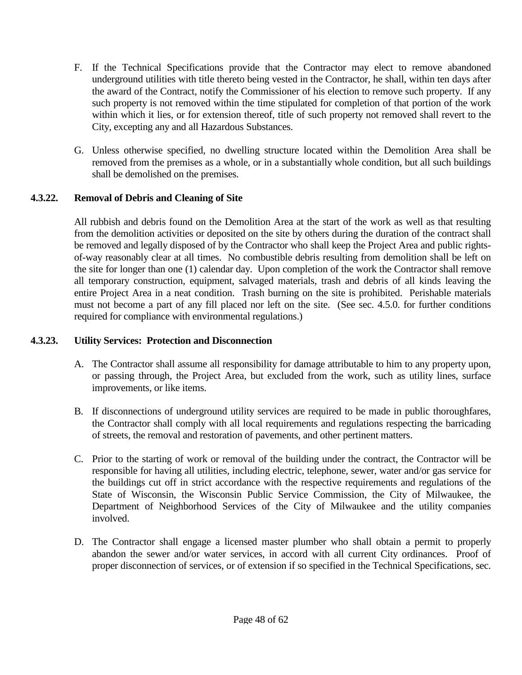- F. If the Technical Specifications provide that the Contractor may elect to remove abandoned underground utilities with title thereto being vested in the Contractor, he shall, within ten days after the award of the Contract, notify the Commissioner of his election to remove such property. If any such property is not removed within the time stipulated for completion of that portion of the work within which it lies, or for extension thereof, title of such property not removed shall revert to the City, excepting any and all Hazardous Substances.
- G. Unless otherwise specified, no dwelling structure located within the Demolition Area shall be removed from the premises as a whole, or in a substantially whole condition, but all such buildings shall be demolished on the premises.

### **4.3.22. Removal of Debris and Cleaning of Site**

All rubbish and debris found on the Demolition Area at the start of the work as well as that resulting from the demolition activities or deposited on the site by others during the duration of the contract shall be removed and legally disposed of by the Contractor who shall keep the Project Area and public rightsof-way reasonably clear at all times. No combustible debris resulting from demolition shall be left on the site for longer than one (1) calendar day. Upon completion of the work the Contractor shall remove all temporary construction, equipment, salvaged materials, trash and debris of all kinds leaving the entire Project Area in a neat condition. Trash burning on the site is prohibited. Perishable materials must not become a part of any fill placed nor left on the site. (See sec. 4.5.0. for further conditions required for compliance with environmental regulations.)

#### **4.3.23. Utility Services: Protection and Disconnection**

- A. The Contractor shall assume all responsibility for damage attributable to him to any property upon, or passing through, the Project Area, but excluded from the work, such as utility lines, surface improvements, or like items.
- B. If disconnections of underground utility services are required to be made in public thoroughfares, the Contractor shall comply with all local requirements and regulations respecting the barricading of streets, the removal and restoration of pavements, and other pertinent matters.
- C. Prior to the starting of work or removal of the building under the contract, the Contractor will be responsible for having all utilities, including electric, telephone, sewer, water and/or gas service for the buildings cut off in strict accordance with the respective requirements and regulations of the State of Wisconsin, the Wisconsin Public Service Commission, the City of Milwaukee, the Department of Neighborhood Services of the City of Milwaukee and the utility companies involved.
- D. The Contractor shall engage a licensed master plumber who shall obtain a permit to properly abandon the sewer and/or water services, in accord with all current City ordinances. Proof of proper disconnection of services, or of extension if so specified in the Technical Specifications, sec.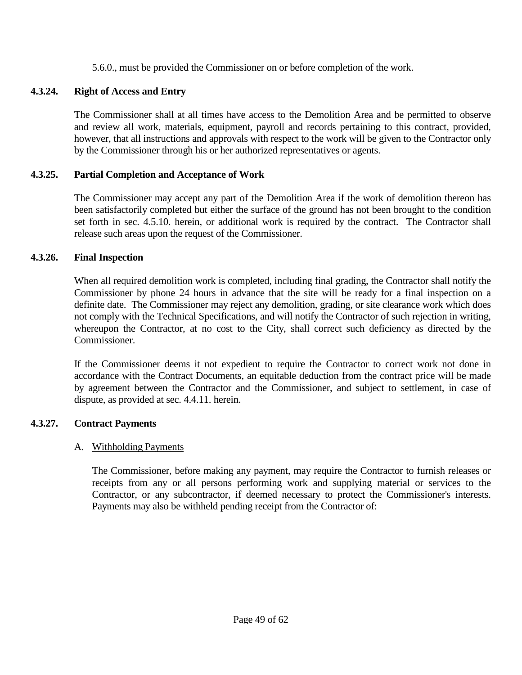5.6.0., must be provided the Commissioner on or before completion of the work.

# **4.3.24. Right of Access and Entry**

The Commissioner shall at all times have access to the Demolition Area and be permitted to observe and review all work, materials, equipment, payroll and records pertaining to this contract, provided, however, that all instructions and approvals with respect to the work will be given to the Contractor only by the Commissioner through his or her authorized representatives or agents.

# **4.3.25. Partial Completion and Acceptance of Work**

The Commissioner may accept any part of the Demolition Area if the work of demolition thereon has been satisfactorily completed but either the surface of the ground has not been brought to the condition set forth in sec. 4.5.10. herein, or additional work is required by the contract. The Contractor shall release such areas upon the request of the Commissioner.

# **4.3.26. Final Inspection**

When all required demolition work is completed, including final grading, the Contractor shall notify the Commissioner by phone 24 hours in advance that the site will be ready for a final inspection on a definite date. The Commissioner may reject any demolition, grading, or site clearance work which does not comply with the Technical Specifications, and will notify the Contractor of such rejection in writing, whereupon the Contractor, at no cost to the City, shall correct such deficiency as directed by the Commissioner.

If the Commissioner deems it not expedient to require the Contractor to correct work not done in accordance with the Contract Documents, an equitable deduction from the contract price will be made by agreement between the Contractor and the Commissioner, and subject to settlement, in case of dispute, as provided at sec. 4.4.11. herein.

# **4.3.27. Contract Payments**

# A. Withholding Payments

The Commissioner, before making any payment, may require the Contractor to furnish releases or receipts from any or all persons performing work and supplying material or services to the Contractor, or any subcontractor, if deemed necessary to protect the Commissioner's interests. Payments may also be withheld pending receipt from the Contractor of: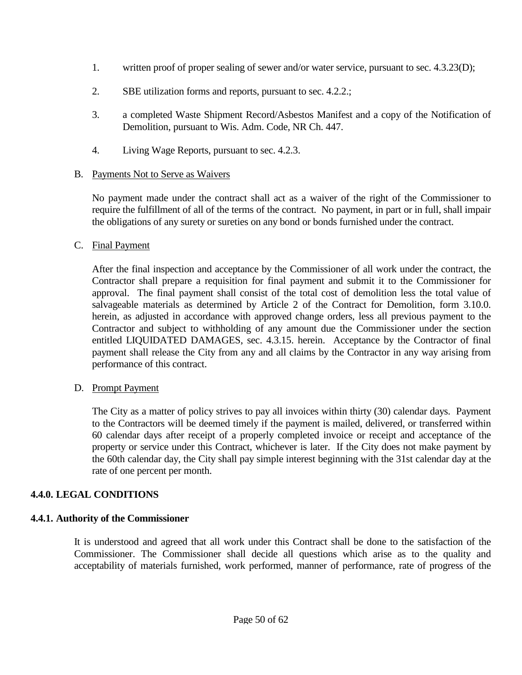- 1. written proof of proper sealing of sewer and/or water service, pursuant to sec. 4.3.23(D);
- 2. SBE utilization forms and reports, pursuant to sec. 4.2.2.;
- 3. a completed Waste Shipment Record/Asbestos Manifest and a copy of the Notification of Demolition, pursuant to Wis. Adm. Code, NR Ch. 447.
- 4. Living Wage Reports, pursuant to sec. 4.2.3.

#### B. Payments Not to Serve as Waivers

No payment made under the contract shall act as a waiver of the right of the Commissioner to require the fulfillment of all of the terms of the contract. No payment, in part or in full, shall impair the obligations of any surety or sureties on any bond or bonds furnished under the contract.

#### C. Final Payment

After the final inspection and acceptance by the Commissioner of all work under the contract, the Contractor shall prepare a requisition for final payment and submit it to the Commissioner for approval. The final payment shall consist of the total cost of demolition less the total value of salvageable materials as determined by Article 2 of the Contract for Demolition, form 3.10.0. herein, as adjusted in accordance with approved change orders, less all previous payment to the Contractor and subject to withholding of any amount due the Commissioner under the section entitled LIQUIDATED DAMAGES, sec. 4.3.15. herein. Acceptance by the Contractor of final payment shall release the City from any and all claims by the Contractor in any way arising from performance of this contract.

#### D. Prompt Payment

The City as a matter of policy strives to pay all invoices within thirty (30) calendar days. Payment to the Contractors will be deemed timely if the payment is mailed, delivered, or transferred within 60 calendar days after receipt of a properly completed invoice or receipt and acceptance of the property or service under this Contract, whichever is later. If the City does not make payment by the 60th calendar day, the City shall pay simple interest beginning with the 31st calendar day at the rate of one percent per month.

# **4.4.0. LEGAL CONDITIONS**

# **4.4.1. Authority of the Commissioner**

It is understood and agreed that all work under this Contract shall be done to the satisfaction of the Commissioner. The Commissioner shall decide all questions which arise as to the quality and acceptability of materials furnished, work performed, manner of performance, rate of progress of the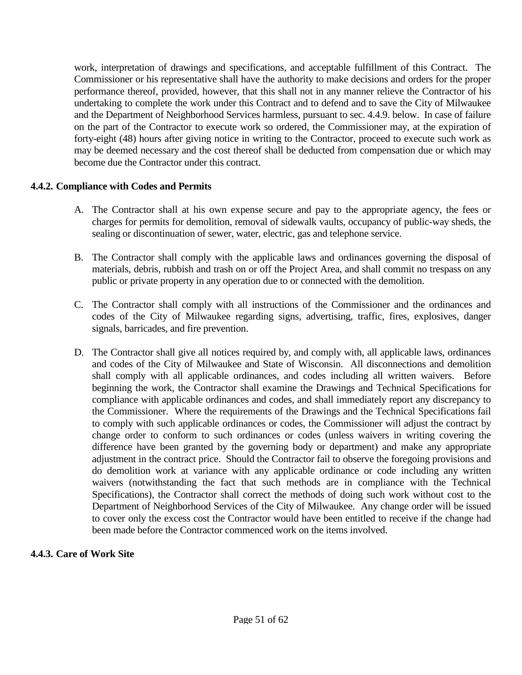work, interpretation of drawings and specifications, and acceptable fulfillment of this Contract. The Commissioner or his representative shall have the authority to make decisions and orders for the proper performance thereof, provided, however, that this shall not in any manner relieve the Contractor of his undertaking to complete the work under this Contract and to defend and to save the City of Milwaukee and the Department of Neighborhood Services harmless, pursuant to sec. 4.4.9. below. In case of failure on the part of the Contractor to execute work so ordered, the Commissioner may, at the expiration of forty-eight (48) hours after giving notice in writing to the Contractor, proceed to execute such work as may be deemed necessary and the cost thereof shall be deducted from compensation due or which may become due the Contractor under this contract.

### **4.4.2. Compliance with Codes and Permits**

- A. The Contractor shall at his own expense secure and pay to the appropriate agency, the fees or charges for permits for demolition, removal of sidewalk vaults, occupancy of public-way sheds, the sealing or discontinuation of sewer, water, electric, gas and telephone service.
- B. The Contractor shall comply with the applicable laws and ordinances governing the disposal of materials, debris, rubbish and trash on or off the Project Area, and shall commit no trespass on any public or private property in any operation due to or connected with the demolition.
- C. The Contractor shall comply with all instructions of the Commissioner and the ordinances and codes of the City of Milwaukee regarding signs, advertising, traffic, fires, explosives, danger signals, barricades, and fire prevention.
- D. The Contractor shall give all notices required by, and comply with, all applicable laws, ordinances and codes of the City of Milwaukee and State of Wisconsin. All disconnections and demolition shall comply with all applicable ordinances, and codes including all written waivers. Before beginning the work, the Contractor shall examine the Drawings and Technical Specifications for compliance with applicable ordinances and codes, and shall immediately report any discrepancy to the Commissioner. Where the requirements of the Drawings and the Technical Specifications fail to comply with such applicable ordinances or codes, the Commissioner will adjust the contract by change order to conform to such ordinances or codes (unless waivers in writing covering the difference have been granted by the governing body or department) and make any appropriate adjustment in the contract price. Should the Contractor fail to observe the foregoing provisions and do demolition work at variance with any applicable ordinance or code including any written waivers (notwithstanding the fact that such methods are in compliance with the Technical Specifications), the Contractor shall correct the methods of doing such work without cost to the Department of Neighborhood Services of the City of Milwaukee. Any change order will be issued to cover only the excess cost the Contractor would have been entitled to receive if the change had been made before the Contractor commenced work on the items involved.

#### **4.4.3. Care of Work Site**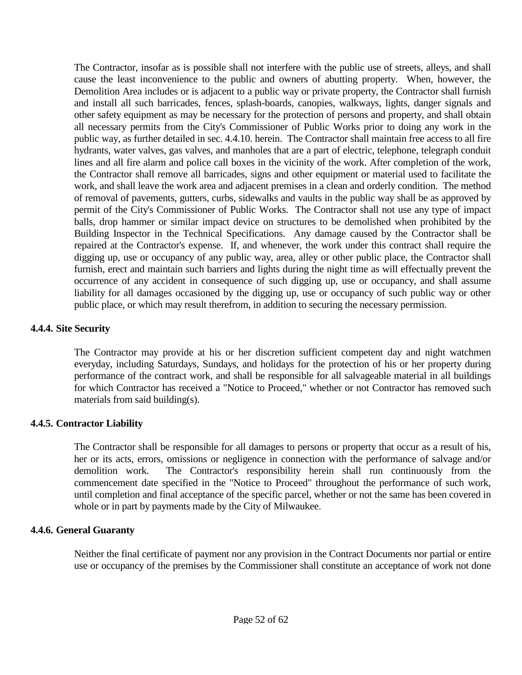The Contractor, insofar as is possible shall not interfere with the public use of streets, alleys, and shall cause the least inconvenience to the public and owners of abutting property. When, however, the Demolition Area includes or is adjacent to a public way or private property, the Contractor shall furnish and install all such barricades, fences, splash-boards, canopies, walkways, lights, danger signals and other safety equipment as may be necessary for the protection of persons and property, and shall obtain all necessary permits from the City's Commissioner of Public Works prior to doing any work in the public way, as further detailed in sec. 4.4.10. herein. The Contractor shall maintain free access to all fire hydrants, water valves, gas valves, and manholes that are a part of electric, telephone, telegraph conduit lines and all fire alarm and police call boxes in the vicinity of the work. After completion of the work, the Contractor shall remove all barricades, signs and other equipment or material used to facilitate the work, and shall leave the work area and adjacent premises in a clean and orderly condition. The method of removal of pavements, gutters, curbs, sidewalks and vaults in the public way shall be as approved by permit of the City's Commissioner of Public Works. The Contractor shall not use any type of impact balls, drop hammer or similar impact device on structures to be demolished when prohibited by the Building Inspector in the Technical Specifications. Any damage caused by the Contractor shall be repaired at the Contractor's expense. If, and whenever, the work under this contract shall require the digging up, use or occupancy of any public way, area, alley or other public place, the Contractor shall furnish, erect and maintain such barriers and lights during the night time as will effectually prevent the occurrence of any accident in consequence of such digging up, use or occupancy, and shall assume liability for all damages occasioned by the digging up, use or occupancy of such public way or other public place, or which may result therefrom, in addition to securing the necessary permission.

#### **4.4.4. Site Security**

The Contractor may provide at his or her discretion sufficient competent day and night watchmen everyday, including Saturdays, Sundays, and holidays for the protection of his or her property during performance of the contract work, and shall be responsible for all salvageable material in all buildings for which Contractor has received a "Notice to Proceed," whether or not Contractor has removed such materials from said building(s).

# **4.4.5. Contractor Liability**

The Contractor shall be responsible for all damages to persons or property that occur as a result of his, her or its acts, errors, omissions or negligence in connection with the performance of salvage and/or demolition work. The Contractor's responsibility herein shall run continuously from the commencement date specified in the "Notice to Proceed" throughout the performance of such work, until completion and final acceptance of the specific parcel, whether or not the same has been covered in whole or in part by payments made by the City of Milwaukee.

# **4.4.6. General Guaranty**

Neither the final certificate of payment nor any provision in the Contract Documents nor partial or entire use or occupancy of the premises by the Commissioner shall constitute an acceptance of work not done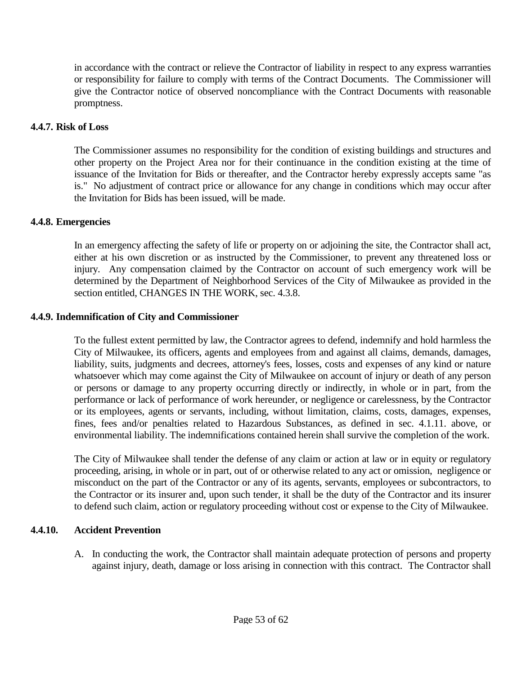in accordance with the contract or relieve the Contractor of liability in respect to any express warranties or responsibility for failure to comply with terms of the Contract Documents. The Commissioner will give the Contractor notice of observed noncompliance with the Contract Documents with reasonable promptness.

### **4.4.7. Risk of Loss**

The Commissioner assumes no responsibility for the condition of existing buildings and structures and other property on the Project Area nor for their continuance in the condition existing at the time of issuance of the Invitation for Bids or thereafter, and the Contractor hereby expressly accepts same "as is." No adjustment of contract price or allowance for any change in conditions which may occur after the Invitation for Bids has been issued, will be made.

### **4.4.8. Emergencies**

In an emergency affecting the safety of life or property on or adjoining the site, the Contractor shall act, either at his own discretion or as instructed by the Commissioner, to prevent any threatened loss or injury. Any compensation claimed by the Contractor on account of such emergency work will be determined by the Department of Neighborhood Services of the City of Milwaukee as provided in the section entitled, CHANGES IN THE WORK, sec. 4.3.8.

### **4.4.9. Indemnification of City and Commissioner**

To the fullest extent permitted by law, the Contractor agrees to defend, indemnify and hold harmless the City of Milwaukee, its officers, agents and employees from and against all claims, demands, damages, liability, suits, judgments and decrees, attorney's fees, losses, costs and expenses of any kind or nature whatsoever which may come against the City of Milwaukee on account of injury or death of any person or persons or damage to any property occurring directly or indirectly, in whole or in part, from the performance or lack of performance of work hereunder, or negligence or carelessness, by the Contractor or its employees, agents or servants, including, without limitation, claims, costs, damages, expenses, fines, fees and/or penalties related to Hazardous Substances, as defined in sec. 4.1.11. above, or environmental liability. The indemnifications contained herein shall survive the completion of the work.

The City of Milwaukee shall tender the defense of any claim or action at law or in equity or regulatory proceeding, arising, in whole or in part, out of or otherwise related to any act or omission, negligence or misconduct on the part of the Contractor or any of its agents, servants, employees or subcontractors, to the Contractor or its insurer and, upon such tender, it shall be the duty of the Contractor and its insurer to defend such claim, action or regulatory proceeding without cost or expense to the City of Milwaukee.

# **4.4.10. Accident Prevention**

A. In conducting the work, the Contractor shall maintain adequate protection of persons and property against injury, death, damage or loss arising in connection with this contract. The Contractor shall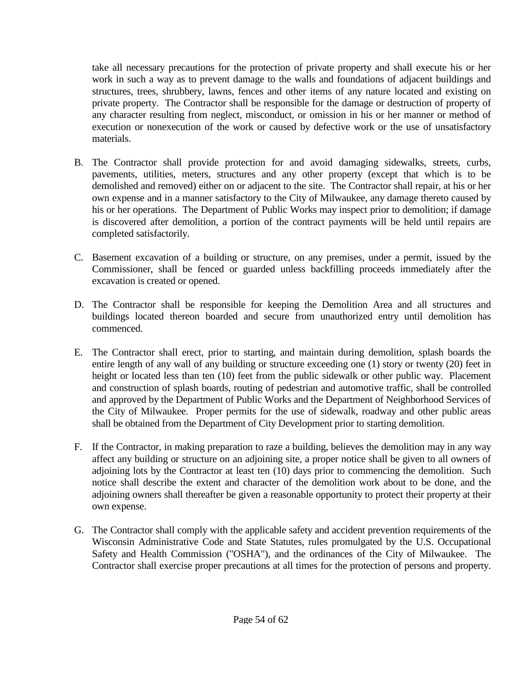take all necessary precautions for the protection of private property and shall execute his or her work in such a way as to prevent damage to the walls and foundations of adjacent buildings and structures, trees, shrubbery, lawns, fences and other items of any nature located and existing on private property. The Contractor shall be responsible for the damage or destruction of property of any character resulting from neglect, misconduct, or omission in his or her manner or method of execution or nonexecution of the work or caused by defective work or the use of unsatisfactory materials.

- B. The Contractor shall provide protection for and avoid damaging sidewalks, streets, curbs, pavements, utilities, meters, structures and any other property (except that which is to be demolished and removed) either on or adjacent to the site. The Contractor shall repair, at his or her own expense and in a manner satisfactory to the City of Milwaukee, any damage thereto caused by his or her operations. The Department of Public Works may inspect prior to demolition; if damage is discovered after demolition, a portion of the contract payments will be held until repairs are completed satisfactorily.
- C. Basement excavation of a building or structure, on any premises, under a permit, issued by the Commissioner, shall be fenced or guarded unless backfilling proceeds immediately after the excavation is created or opened.
- D. The Contractor shall be responsible for keeping the Demolition Area and all structures and buildings located thereon boarded and secure from unauthorized entry until demolition has commenced.
- E. The Contractor shall erect, prior to starting, and maintain during demolition, splash boards the entire length of any wall of any building or structure exceeding one (1) story or twenty (20) feet in height or located less than ten (10) feet from the public sidewalk or other public way. Placement and construction of splash boards, routing of pedestrian and automotive traffic, shall be controlled and approved by the Department of Public Works and the Department of Neighborhood Services of the City of Milwaukee. Proper permits for the use of sidewalk, roadway and other public areas shall be obtained from the Department of City Development prior to starting demolition.
- F. If the Contractor, in making preparation to raze a building, believes the demolition may in any way affect any building or structure on an adjoining site, a proper notice shall be given to all owners of adjoining lots by the Contractor at least ten (10) days prior to commencing the demolition. Such notice shall describe the extent and character of the demolition work about to be done, and the adjoining owners shall thereafter be given a reasonable opportunity to protect their property at their own expense.
- G. The Contractor shall comply with the applicable safety and accident prevention requirements of the Wisconsin Administrative Code and State Statutes, rules promulgated by the U.S. Occupational Safety and Health Commission ("OSHA"), and the ordinances of the City of Milwaukee. The Contractor shall exercise proper precautions at all times for the protection of persons and property.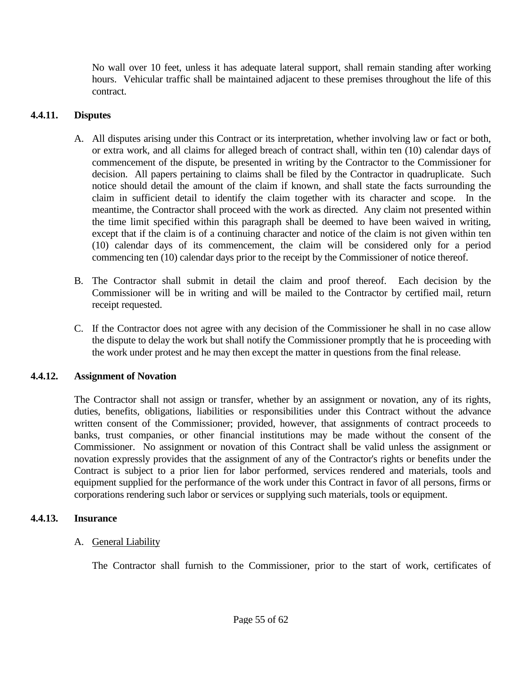No wall over 10 feet, unless it has adequate lateral support, shall remain standing after working hours. Vehicular traffic shall be maintained adjacent to these premises throughout the life of this contract.

### **4.4.11. Disputes**

- A. All disputes arising under this Contract or its interpretation, whether involving law or fact or both, or extra work, and all claims for alleged breach of contract shall, within ten (10) calendar days of commencement of the dispute, be presented in writing by the Contractor to the Commissioner for decision. All papers pertaining to claims shall be filed by the Contractor in quadruplicate. Such notice should detail the amount of the claim if known, and shall state the facts surrounding the claim in sufficient detail to identify the claim together with its character and scope. In the meantime, the Contractor shall proceed with the work as directed. Any claim not presented within the time limit specified within this paragraph shall be deemed to have been waived in writing, except that if the claim is of a continuing character and notice of the claim is not given within ten (10) calendar days of its commencement, the claim will be considered only for a period commencing ten (10) calendar days prior to the receipt by the Commissioner of notice thereof.
- B. The Contractor shall submit in detail the claim and proof thereof. Each decision by the Commissioner will be in writing and will be mailed to the Contractor by certified mail, return receipt requested.
- C. If the Contractor does not agree with any decision of the Commissioner he shall in no case allow the dispute to delay the work but shall notify the Commissioner promptly that he is proceeding with the work under protest and he may then except the matter in questions from the final release.

#### **4.4.12. Assignment of Novation**

The Contractor shall not assign or transfer, whether by an assignment or novation, any of its rights, duties, benefits, obligations, liabilities or responsibilities under this Contract without the advance written consent of the Commissioner; provided, however, that assignments of contract proceeds to banks, trust companies, or other financial institutions may be made without the consent of the Commissioner. No assignment or novation of this Contract shall be valid unless the assignment or novation expressly provides that the assignment of any of the Contractor's rights or benefits under the Contract is subject to a prior lien for labor performed, services rendered and materials, tools and equipment supplied for the performance of the work under this Contract in favor of all persons, firms or corporations rendering such labor or services or supplying such materials, tools or equipment.

# **4.4.13. Insurance**

# A. General Liability

The Contractor shall furnish to the Commissioner, prior to the start of work, certificates of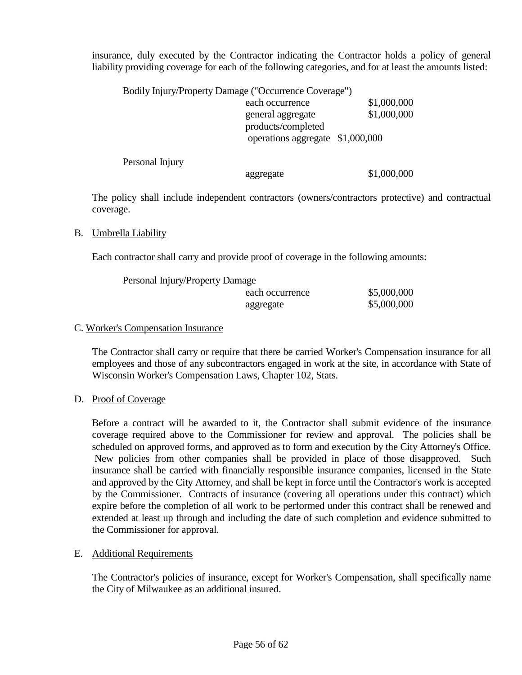insurance, duly executed by the Contractor indicating the Contractor holds a policy of general liability providing coverage for each of the following categories, and for at least the amounts listed:

| Bodily Injury/Property Damage ("Occurrence Coverage") |                                  |             |
|-------------------------------------------------------|----------------------------------|-------------|
|                                                       | each occurrence                  | \$1,000,000 |
|                                                       | general aggregate                | \$1,000,000 |
|                                                       | products/completed               |             |
|                                                       | operations aggregate \$1,000,000 |             |
| Personal Injury                                       |                                  |             |

aggregate \$1,000,000

The policy shall include independent contractors (owners/contractors protective) and contractual coverage.

#### B. Umbrella Liability

Each contractor shall carry and provide proof of coverage in the following amounts:

| Personal Injury/Property Damage |                 |             |
|---------------------------------|-----------------|-------------|
|                                 | each occurrence | \$5,000,000 |
|                                 | aggregate       | \$5,000,000 |

#### C. Worker's Compensation Insurance

The Contractor shall carry or require that there be carried Worker's Compensation insurance for all employees and those of any subcontractors engaged in work at the site, in accordance with State of Wisconsin Worker's Compensation Laws, Chapter 102, Stats.

D. Proof of Coverage

Before a contract will be awarded to it, the Contractor shall submit evidence of the insurance coverage required above to the Commissioner for review and approval. The policies shall be scheduled on approved forms, and approved as to form and execution by the City Attorney's Office. New policies from other companies shall be provided in place of those disapproved. Such insurance shall be carried with financially responsible insurance companies, licensed in the State and approved by the City Attorney, and shall be kept in force until the Contractor's work is accepted by the Commissioner. Contracts of insurance (covering all operations under this contract) which expire before the completion of all work to be performed under this contract shall be renewed and extended at least up through and including the date of such completion and evidence submitted to the Commissioner for approval.

#### E. Additional Requirements

The Contractor's policies of insurance, except for Worker's Compensation, shall specifically name the City of Milwaukee as an additional insured.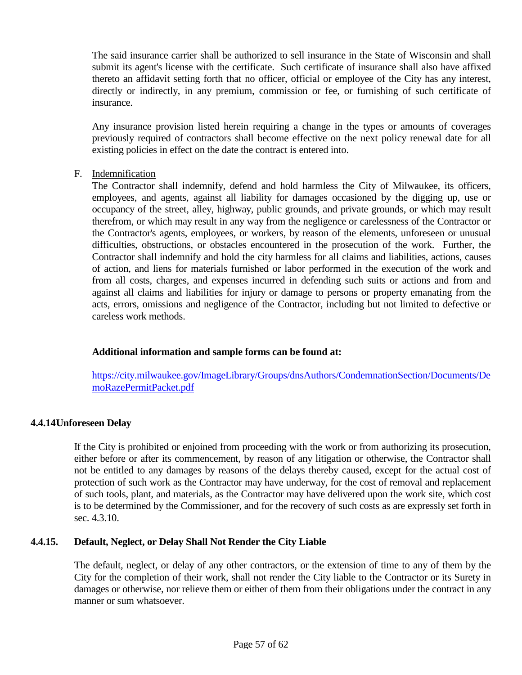The said insurance carrier shall be authorized to sell insurance in the State of Wisconsin and shall submit its agent's license with the certificate. Such certificate of insurance shall also have affixed thereto an affidavit setting forth that no officer, official or employee of the City has any interest, directly or indirectly, in any premium, commission or fee, or furnishing of such certificate of insurance.

Any insurance provision listed herein requiring a change in the types or amounts of coverages previously required of contractors shall become effective on the next policy renewal date for all existing policies in effect on the date the contract is entered into.

#### F. Indemnification

The Contractor shall indemnify, defend and hold harmless the City of Milwaukee, its officers, employees, and agents, against all liability for damages occasioned by the digging up, use or occupancy of the street, alley, highway, public grounds, and private grounds, or which may result therefrom, or which may result in any way from the negligence or carelessness of the Contractor or the Contractor's agents, employees, or workers, by reason of the elements, unforeseen or unusual difficulties, obstructions, or obstacles encountered in the prosecution of the work. Further, the Contractor shall indemnify and hold the city harmless for all claims and liabilities, actions, causes of action, and liens for materials furnished or labor performed in the execution of the work and from all costs, charges, and expenses incurred in defending such suits or actions and from and against all claims and liabilities for injury or damage to persons or property emanating from the acts, errors, omissions and negligence of the Contractor, including but not limited to defective or careless work methods.

#### **Additional information and sample forms can be found at:**

[https://city.milwaukee.gov/ImageLibrary/Groups/dnsAuthors/CondemnationSection/Documents/De](https://city.milwaukee.gov/ImageLibrary/Groups/dnsAuthors/CondemnationSection/Documents/DemoRazePermitPacket.pdf) [moRazePermitPacket.pdf](https://city.milwaukee.gov/ImageLibrary/Groups/dnsAuthors/CondemnationSection/Documents/DemoRazePermitPacket.pdf)

#### **4.4.14Unforeseen Delay**

If the City is prohibited or enjoined from proceeding with the work or from authorizing its prosecution, either before or after its commencement, by reason of any litigation or otherwise, the Contractor shall not be entitled to any damages by reasons of the delays thereby caused, except for the actual cost of protection of such work as the Contractor may have underway, for the cost of removal and replacement of such tools, plant, and materials, as the Contractor may have delivered upon the work site, which cost is to be determined by the Commissioner, and for the recovery of such costs as are expressly set forth in sec. 4.3.10.

#### **4.4.15. Default, Neglect, or Delay Shall Not Render the City Liable**

The default, neglect, or delay of any other contractors, or the extension of time to any of them by the City for the completion of their work, shall not render the City liable to the Contractor or its Surety in damages or otherwise, nor relieve them or either of them from their obligations under the contract in any manner or sum whatsoever.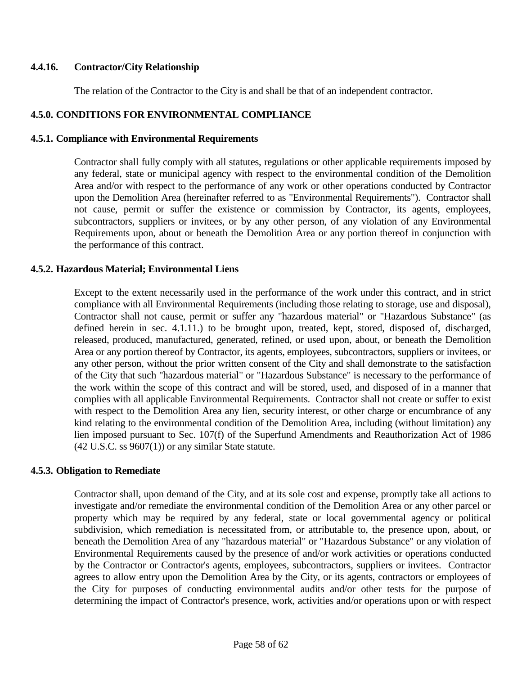#### **4.4.16. Contractor/City Relationship**

The relation of the Contractor to the City is and shall be that of an independent contractor.

#### **4.5.0. CONDITIONS FOR ENVIRONMENTAL COMPLIANCE**

#### **4.5.1. Compliance with Environmental Requirements**

Contractor shall fully comply with all statutes, regulations or other applicable requirements imposed by any federal, state or municipal agency with respect to the environmental condition of the Demolition Area and/or with respect to the performance of any work or other operations conducted by Contractor upon the Demolition Area (hereinafter referred to as "Environmental Requirements"). Contractor shall not cause, permit or suffer the existence or commission by Contractor, its agents, employees, subcontractors, suppliers or invitees, or by any other person, of any violation of any Environmental Requirements upon, about or beneath the Demolition Area or any portion thereof in conjunction with the performance of this contract.

#### **4.5.2. Hazardous Material; Environmental Liens**

Except to the extent necessarily used in the performance of the work under this contract, and in strict compliance with all Environmental Requirements (including those relating to storage, use and disposal), Contractor shall not cause, permit or suffer any "hazardous material" or "Hazardous Substance" (as defined herein in sec. 4.1.11.) to be brought upon, treated, kept, stored, disposed of, discharged, released, produced, manufactured, generated, refined, or used upon, about, or beneath the Demolition Area or any portion thereof by Contractor, its agents, employees, subcontractors, suppliers or invitees, or any other person, without the prior written consent of the City and shall demonstrate to the satisfaction of the City that such "hazardous material" or "Hazardous Substance" is necessary to the performance of the work within the scope of this contract and will be stored, used, and disposed of in a manner that complies with all applicable Environmental Requirements. Contractor shall not create or suffer to exist with respect to the Demolition Area any lien, security interest, or other charge or encumbrance of any kind relating to the environmental condition of the Demolition Area, including (without limitation) any lien imposed pursuant to Sec. 107(f) of the Superfund Amendments and Reauthorization Act of 1986  $(42 \text{ U.S.C.} \text{ss } 9607(1))$  or any similar State statute.

#### **4.5.3. Obligation to Remediate**

Contractor shall, upon demand of the City, and at its sole cost and expense, promptly take all actions to investigate and/or remediate the environmental condition of the Demolition Area or any other parcel or property which may be required by any federal, state or local governmental agency or political subdivision, which remediation is necessitated from, or attributable to, the presence upon, about, or beneath the Demolition Area of any "hazardous material" or "Hazardous Substance" or any violation of Environmental Requirements caused by the presence of and/or work activities or operations conducted by the Contractor or Contractor's agents, employees, subcontractors, suppliers or invitees. Contractor agrees to allow entry upon the Demolition Area by the City, or its agents, contractors or employees of the City for purposes of conducting environmental audits and/or other tests for the purpose of determining the impact of Contractor's presence, work, activities and/or operations upon or with respect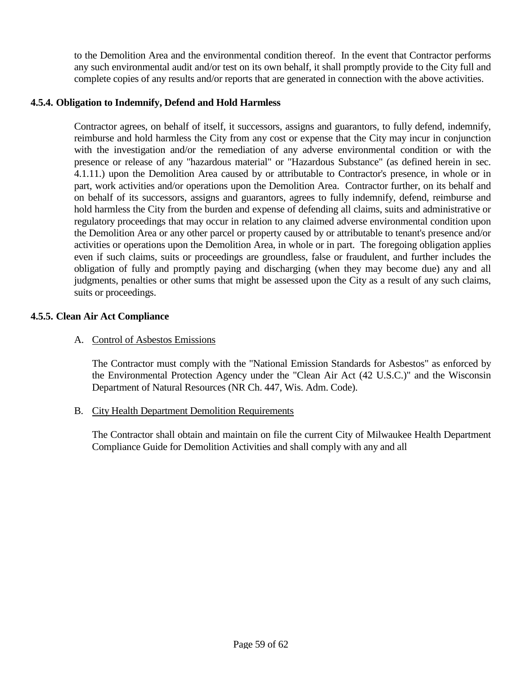to the Demolition Area and the environmental condition thereof. In the event that Contractor performs any such environmental audit and/or test on its own behalf, it shall promptly provide to the City full and complete copies of any results and/or reports that are generated in connection with the above activities.

#### **4.5.4. Obligation to Indemnify, Defend and Hold Harmless**

Contractor agrees, on behalf of itself, it successors, assigns and guarantors, to fully defend, indemnify, reimburse and hold harmless the City from any cost or expense that the City may incur in conjunction with the investigation and/or the remediation of any adverse environmental condition or with the presence or release of any "hazardous material" or "Hazardous Substance" (as defined herein in sec. 4.1.11.) upon the Demolition Area caused by or attributable to Contractor's presence, in whole or in part, work activities and/or operations upon the Demolition Area. Contractor further, on its behalf and on behalf of its successors, assigns and guarantors, agrees to fully indemnify, defend, reimburse and hold harmless the City from the burden and expense of defending all claims, suits and administrative or regulatory proceedings that may occur in relation to any claimed adverse environmental condition upon the Demolition Area or any other parcel or property caused by or attributable to tenant's presence and/or activities or operations upon the Demolition Area, in whole or in part. The foregoing obligation applies even if such claims, suits or proceedings are groundless, false or fraudulent, and further includes the obligation of fully and promptly paying and discharging (when they may become due) any and all judgments, penalties or other sums that might be assessed upon the City as a result of any such claims, suits or proceedings.

#### **4.5.5. Clean Air Act Compliance**

#### A. Control of Asbestos Emissions

The Contractor must comply with the "National Emission Standards for Asbestos" as enforced by the Environmental Protection Agency under the "Clean Air Act (42 U.S.C.)" and the Wisconsin Department of Natural Resources (NR Ch. 447, Wis. Adm. Code).

#### B. City Health Department Demolition Requirements

The Contractor shall obtain and maintain on file the current City of Milwaukee Health Department Compliance Guide for Demolition Activities and shall comply with any and all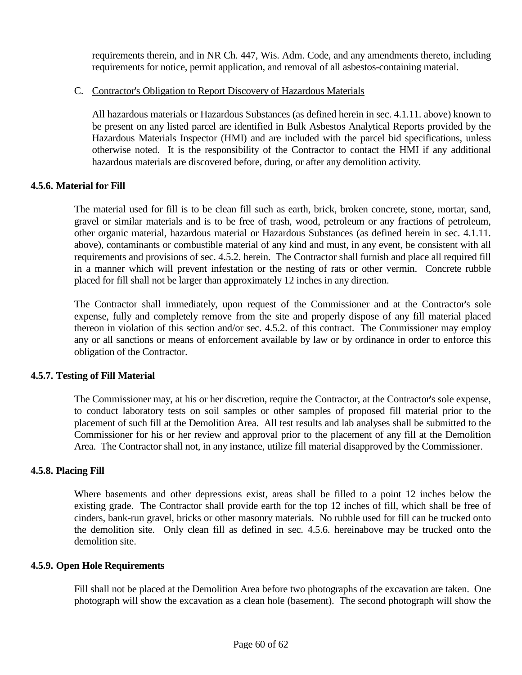requirements therein, and in NR Ch. 447, Wis. Adm. Code, and any amendments thereto, including requirements for notice, permit application, and removal of all asbestos-containing material.

#### C. Contractor's Obligation to Report Discovery of Hazardous Materials

All hazardous materials or Hazardous Substances (as defined herein in sec. 4.1.11. above) known to be present on any listed parcel are identified in Bulk Asbestos Analytical Reports provided by the Hazardous Materials Inspector (HMI) and are included with the parcel bid specifications, unless otherwise noted. It is the responsibility of the Contractor to contact the HMI if any additional hazardous materials are discovered before, during, or after any demolition activity.

#### **4.5.6. Material for Fill**

The material used for fill is to be clean fill such as earth, brick, broken concrete, stone, mortar, sand, gravel or similar materials and is to be free of trash, wood, petroleum or any fractions of petroleum, other organic material, hazardous material or Hazardous Substances (as defined herein in sec. 4.1.11. above), contaminants or combustible material of any kind and must, in any event, be consistent with all requirements and provisions of sec. 4.5.2. herein. The Contractor shall furnish and place all required fill in a manner which will prevent infestation or the nesting of rats or other vermin. Concrete rubble placed for fill shall not be larger than approximately 12 inches in any direction.

The Contractor shall immediately, upon request of the Commissioner and at the Contractor's sole expense, fully and completely remove from the site and properly dispose of any fill material placed thereon in violation of this section and/or sec. 4.5.2. of this contract. The Commissioner may employ any or all sanctions or means of enforcement available by law or by ordinance in order to enforce this obligation of the Contractor.

#### **4.5.7. Testing of Fill Material**

The Commissioner may, at his or her discretion, require the Contractor, at the Contractor's sole expense, to conduct laboratory tests on soil samples or other samples of proposed fill material prior to the placement of such fill at the Demolition Area. All test results and lab analyses shall be submitted to the Commissioner for his or her review and approval prior to the placement of any fill at the Demolition Area. The Contractor shall not, in any instance, utilize fill material disapproved by the Commissioner.

#### **4.5.8. Placing Fill**

Where basements and other depressions exist, areas shall be filled to a point 12 inches below the existing grade. The Contractor shall provide earth for the top 12 inches of fill, which shall be free of cinders, bank-run gravel, bricks or other masonry materials. No rubble used for fill can be trucked onto the demolition site. Only clean fill as defined in sec. 4.5.6. hereinabove may be trucked onto the demolition site.

#### **4.5.9. Open Hole Requirements**

Fill shall not be placed at the Demolition Area before two photographs of the excavation are taken. One photograph will show the excavation as a clean hole (basement). The second photograph will show the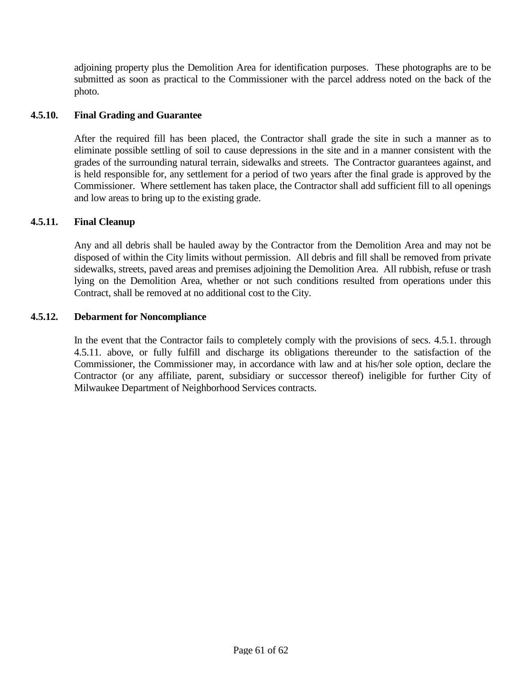adjoining property plus the Demolition Area for identification purposes. These photographs are to be submitted as soon as practical to the Commissioner with the parcel address noted on the back of the photo.

#### **4.5.10. Final Grading and Guarantee**

After the required fill has been placed, the Contractor shall grade the site in such a manner as to eliminate possible settling of soil to cause depressions in the site and in a manner consistent with the grades of the surrounding natural terrain, sidewalks and streets. The Contractor guarantees against, and is held responsible for, any settlement for a period of two years after the final grade is approved by the Commissioner. Where settlement has taken place, the Contractor shall add sufficient fill to all openings and low areas to bring up to the existing grade.

#### **4.5.11. Final Cleanup**

Any and all debris shall be hauled away by the Contractor from the Demolition Area and may not be disposed of within the City limits without permission. All debris and fill shall be removed from private sidewalks, streets, paved areas and premises adjoining the Demolition Area. All rubbish, refuse or trash lying on the Demolition Area, whether or not such conditions resulted from operations under this Contract, shall be removed at no additional cost to the City.

#### **4.5.12. Debarment for Noncompliance**

In the event that the Contractor fails to completely comply with the provisions of secs. 4.5.1. through 4.5.11. above, or fully fulfill and discharge its obligations thereunder to the satisfaction of the Commissioner, the Commissioner may, in accordance with law and at his/her sole option, declare the Contractor (or any affiliate, parent, subsidiary or successor thereof) ineligible for further City of Milwaukee Department of Neighborhood Services contracts.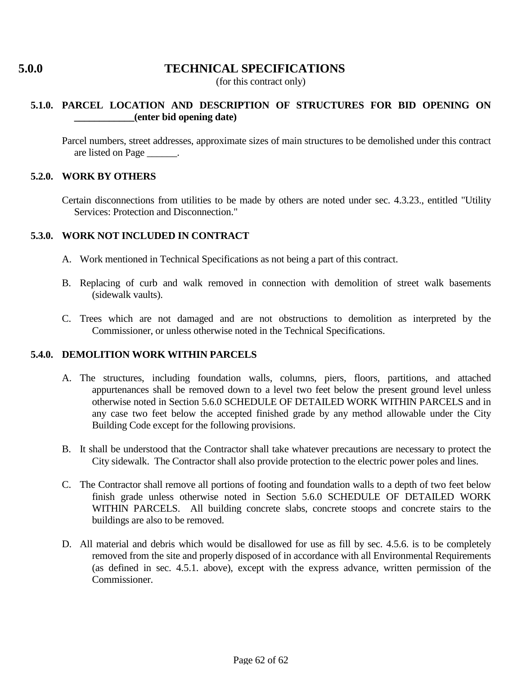# **5.0.0 TECHNICAL SPECIFICATIONS**

(for this contract only)

#### **5.1.0. PARCEL LOCATION AND DESCRIPTION OF STRUCTURES FOR BID OPENING ON \_\_\_\_\_\_\_\_\_\_\_\_(enter bid opening date)**

Parcel numbers, street addresses, approximate sizes of main structures to be demolished under this contract are listed on Page  $\qquad \qquad$ .

#### **5.2.0. WORK BY OTHERS**

Certain disconnections from utilities to be made by others are noted under sec. 4.3.23., entitled "Utility Services: Protection and Disconnection."

#### **5.3.0. WORK NOT INCLUDED IN CONTRACT**

- A. Work mentioned in Technical Specifications as not being a part of this contract.
- B. Replacing of curb and walk removed in connection with demolition of street walk basements (sidewalk vaults).
- C. Trees which are not damaged and are not obstructions to demolition as interpreted by the Commissioner, or unless otherwise noted in the Technical Specifications.

#### **5.4.0. DEMOLITION WORK WITHIN PARCELS**

- A. The structures, including foundation walls, columns, piers, floors, partitions, and attached appurtenances shall be removed down to a level two feet below the present ground level unless otherwise noted in Section 5.6.0 SCHEDULE OF DETAILED WORK WITHIN PARCELS and in any case two feet below the accepted finished grade by any method allowable under the City Building Code except for the following provisions.
- B. It shall be understood that the Contractor shall take whatever precautions are necessary to protect the City sidewalk. The Contractor shall also provide protection to the electric power poles and lines.
- C. The Contractor shall remove all portions of footing and foundation walls to a depth of two feet below finish grade unless otherwise noted in Section 5.6.0 SCHEDULE OF DETAILED WORK WITHIN PARCELS. All building concrete slabs, concrete stoops and concrete stairs to the buildings are also to be removed.
- D. All material and debris which would be disallowed for use as fill by sec. 4.5.6. is to be completely removed from the site and properly disposed of in accordance with all Environmental Requirements (as defined in sec. 4.5.1. above), except with the express advance, written permission of the Commissioner.